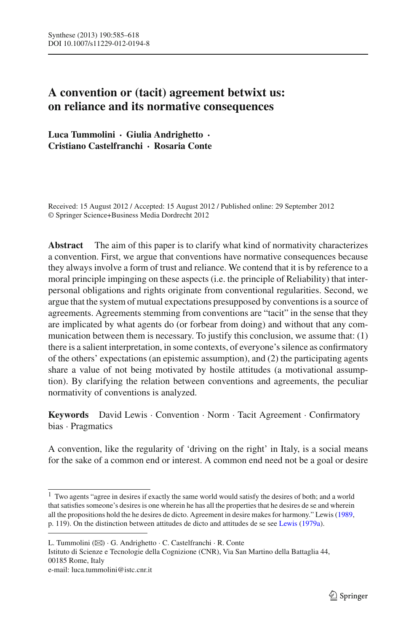# **A convention or (tacit) agreement betwixt us: on reliance and its normative consequences**

**Luca Tummolini · Giulia Andrighetto · Cristiano Castelfranchi · Rosaria Conte**

Received: 15 August 2012 / Accepted: 15 August 2012 / Published online: 29 September 2012 © Springer Science+Business Media Dordrecht 2012

**Abstract** The aim of this paper is to clarify what kind of normativity characterizes a convention. First, we argue that conventions have normative consequences because they always involve a form of trust and reliance. We contend that it is by reference to a moral principle impinging on these aspects (i.e. the principle of Reliability) that interpersonal obligations and rights originate from conventional regularities. Second, we argue that the system of mutual expectations presupposed by conventions is a source of agreements. Agreements stemming from conventions are "tacit" in the sense that they are implicated by what agents do (or forbear from doing) and without that any communication between them is necessary. To justify this conclusion, we assume that: (1) there is a salient interpretation, in some contexts, of everyone's silence as confirmatory of the others' expectations (an epistemic assumption), and (2) the participating agents share a value of not being motivated by hostile attitudes (a motivational assumption). By clarifying the relation between conventions and agreements, the peculiar normativity of conventions is analyzed.

**Keywords** David Lewis · Convention · Norm · Tacit Agreement · Confirmatory bias · Pragmatics

A convention, like the regularity of 'driving on the right' in Italy, is a social means for the sake of a common end or interest. A common end need not be a goal or desire

Istituto di Scienze e Tecnologie della Cognizione (CNR), Via San Martino della Battaglia 44, 00185 Rome, Italy

e-mail: luca.tummolini@istc.cnr.it

 $1$  Two agents "agree in desires if exactly the same world would satisfy the desires of both; and a world that satisfies someone's desires is one wherein he has all the properties that he desires de se and wherein all the propositions hold the he desires de dicto. Agreement in desire makes for harmony." Lewis [\(1989,](#page-32-0) p. 119). On the distinction between attitudes de dicto and attitudes de se see [Lewis](#page-32-1) [\(1979a\)](#page-32-1).

L. Tummolini (B) · G. Andrighetto · C. Castelfranchi · R. Conte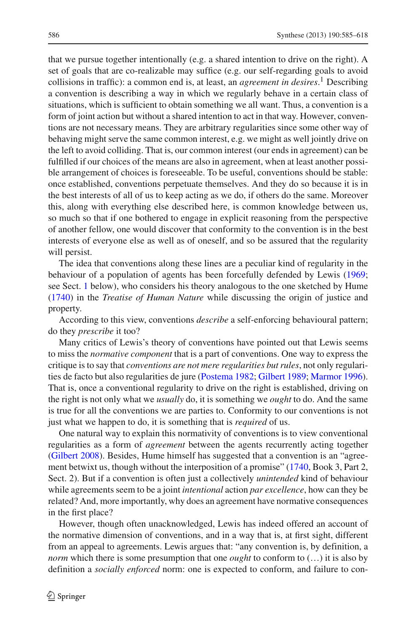that we pursue together intentionally (e.g. a shared intention to drive on the right). A set of goals that are co-realizable may suffice (e.g. our self-regarding goals to avoid collisions in traffic): a common end is, at least, an *agreement in desires*. <sup>1</sup> Describing a convention is describing a way in which we regularly behave in a certain class of situations, which is sufficient to obtain something we all want. Thus, a convention is a form of joint action but without a shared intention to act in that way. However, conventions are not necessary means. They are arbitrary regularities since some other way of behaving might serve the same common interest, e.g. we might as well jointly drive on the left to avoid colliding. That is, our common interest (our ends in agreement) can be fulfilled if our choices of the means are also in agreement, when at least another possible arrangement of choices is foreseeable. To be useful, conventions should be stable: once established, conventions perpetuate themselves. And they do so because it is in the best interests of all of us to keep acting as we do, if others do the same. Moreover this, along with everything else described here, is common knowledge between us, so much so that if one bothered to engage in explicit reasoning from the perspective of another fellow, one would discover that conformity to the convention is in the best interests of everyone else as well as of oneself, and so be assured that the regularity will persist.

The idea that conventions along these lines are a peculiar kind of regularity in the behaviour of a population of agents has been forcefully defended by Lewis [\(1969](#page-32-2); see Sect. [1](#page-3-0) below), who considers his theory analogous to the one sketched by Hume [\(1740\)](#page-32-3) in the *Treatise of Human Nature* while discussing the origin of justice and property.

According to this view, conventions *describe* a self-enforcing behavioural pattern; do they *prescribe* it too?

Many critics of Lewis's theory of conventions have pointed out that Lewis seems to miss the *normative component* that is a part of conventions. One way to express the critique is to say that *conventions are not mere regularities but rules*, not only regularities de facto but also regularities de jure [\(Postema 1982;](#page-33-0) [Gilbert 1989;](#page-32-4) [Marmor 1996](#page-32-5)). That is, once a conventional regularity to drive on the right is established, driving on the right is not only what we *usually* do, it is something we *ought* to do. And the same is true for all the conventions we are parties to. Conformity to our conventions is not just what we happen to do, it is something that is *required* of us.

One natural way to explain this normativity of conventions is to view conventional regularities as a form of *agreement* between the agents recurrently acting together [\(Gilbert 2008\)](#page-32-6). Besides, Hume himself has suggested that a convention is an "agree-ment betwixt us, though without the interposition of a promise" [\(1740](#page-32-3), Book 3, Part 2, Sect. 2). But if a convention is often just a collectively *unintended* kind of behaviour while agreements seem to be a joint *intentional* action *par excellence*, how can they be related? And, more importantly, why does an agreement have normative consequences in the first place?

However, though often unacknowledged, Lewis has indeed offered an account of the normative dimension of conventions, and in a way that is, at first sight, different from an appeal to agreements. Lewis argues that: "any convention is, by definition, a *norm* which there is some presumption that one *ought* to conform to (...) it is also by definition a *socially enforced* norm: one is expected to conform, and failure to con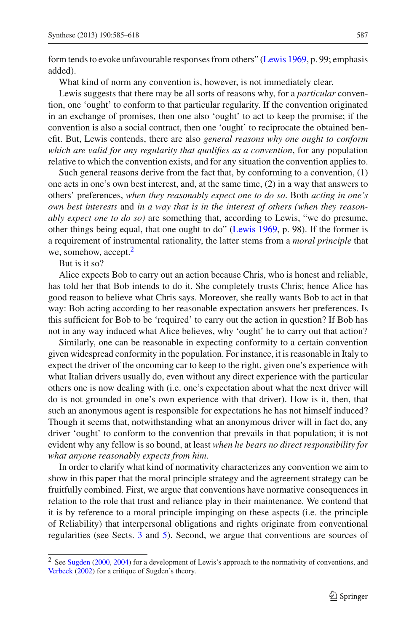form tends to evoke unfavourable responses from others" [\(Lewis 1969](#page-32-2), p. 99; emphasis added).

What kind of norm any convention is, however, is not immediately clear.

Lewis suggests that there may be all sorts of reasons why, for a *particular* convention, one 'ought' to conform to that particular regularity. If the convention originated in an exchange of promises, then one also 'ought' to act to keep the promise; if the convention is also a social contract, then one 'ought' to reciprocate the obtained benefit. But, Lewis contends, there are also *general reasons why one ought to conform which are valid for any regularity that qualifies as a convention*, for any population relative to which the convention exists, and for any situation the convention applies to.

Such general reasons derive from the fact that, by conforming to a convention, (1) one acts in one's own best interest, and, at the same time, (2) in a way that answers to others' preferences, *when they reasonably expect one to do so*. Both *acting in one's own best interests* and *in a way that is in the interest of others (when they reasonably expect one to do so)* are something that, according to Lewis, "we do presume, other things being equal, that one ought to do" [\(Lewis 1969](#page-32-2), p. 98). If the former is a requirement of instrumental rationality, the latter stems from a *moral principle* that we, somehow, accept.<sup>2</sup>

But is it so?

Alice expects Bob to carry out an action because Chris, who is honest and reliable, has told her that Bob intends to do it. She completely trusts Chris; hence Alice has good reason to believe what Chris says. Moreover, she really wants Bob to act in that way: Bob acting according to her reasonable expectation answers her preferences. Is this sufficient for Bob to be 'required' to carry out the action in question? If Bob has not in any way induced what Alice believes, why 'ought' he to carry out that action?

Similarly, one can be reasonable in expecting conformity to a certain convention given widespread conformity in the population. For instance, it is reasonable in Italy to expect the driver of the oncoming car to keep to the right, given one's experience with what Italian drivers usually do, even without any direct experience with the particular others one is now dealing with (i.e. one's expectation about what the next driver will do is not grounded in one's own experience with that driver). How is it, then, that such an anonymous agent is responsible for expectations he has not himself induced? Though it seems that, notwithstanding what an anonymous driver will in fact do, any driver 'ought' to conform to the convention that prevails in that population; it is not evident why any fellow is so bound, at least *when he bears no direct responsibility for what anyone reasonably expects from him*.

In order to clarify what kind of normativity characterizes any convention we aim to show in this paper that the moral principle strategy and the agreement strategy can be fruitfully combined. First, we argue that conventions have normative consequences in relation to the role that trust and reliance play in their maintenance. We contend that it is by reference to a moral principle impinging on these aspects (i.e. the principle of Reliability) that interpersonal obligations and rights originate from conventional regularities (see Sects. [3](#page-7-0) and [5\)](#page-16-0). Second, we argue that conventions are sources of

<span id="page-2-0"></span><sup>2</sup> See [Sugden](#page-33-1) [\(2000,](#page-33-1) [2004\)](#page-33-2) for a development of Lewis's approach to the normativity of conventions, and [Verbeek](#page-33-3) [\(2002](#page-33-3)) for a critique of Sugden's theory.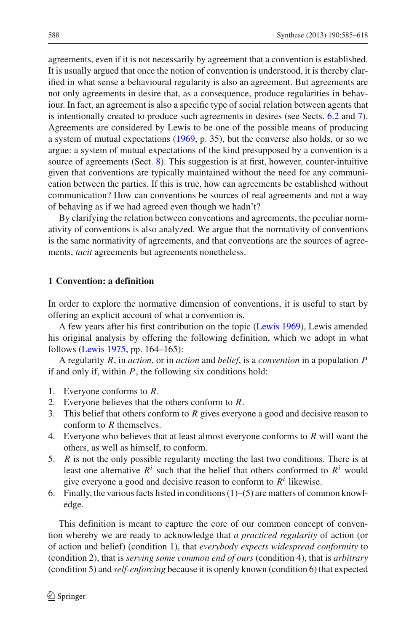agreements, even if it is not necessarily by agreement that a convention is established. It is usually argued that once the notion of convention is understood, it is thereby clarified in what sense a behavioural regularity is also an agreement. But agreements are not only agreements in desire that, as a consequence, produce regularities in behaviour. In fact, an agreement is also a specific type of social relation between agents that is intentionally created to produce such agreements in desires (see Sects. [6.2](#page-21-0) and [7\)](#page-23-0). Agreements are considered by Lewis to be one of the possible means of producing a system of mutual expectations [\(1969,](#page-32-2) p. 35), but the converse also holds, or so we argue: a system of mutual expectations of the kind presupposed by a convention is a source of agreements (Sect. [8\)](#page-28-0). This suggestion is at first, however, counter-intuitive given that conventions are typically maintained without the need for any communication between the parties. If this is true, how can agreements be established without communication? How can conventions be sources of real agreements and not a way of behaving as if we had agreed even though we hadn't?

By clarifying the relation between conventions and agreements, the peculiar normativity of conventions is also analyzed. We argue that the normativity of conventions is the same normativity of agreements, and that conventions are the sources of agreements, *tacit* agreements but agreements nonetheless.

# <span id="page-3-0"></span>**1 Convention: a definition**

In order to explore the normative dimension of conventions, it is useful to start by offering an explicit account of what a convention is.

A few years after his first contribution on the topic [\(Lewis 1969\)](#page-32-2), Lewis amended his original analysis by offering the following definition, which we adopt in what follows [\(Lewis 1975,](#page-32-7) pp. 164–165):

A regularity *R*, in *action*, or in *action* and *belief*, is a *convention* in a population *P* if and only if, within *P*, the following six conditions hold:

- 1. Everyone conforms to *R*.
- 2. Everyone believes that the others conform to *R*.
- 3. This belief that others conform to *R* gives everyone a good and decisive reason to conform to *R* themselves.
- 4. Everyone who believes that at least almost everyone conforms to *R* will want the others, as well as himself, to conform.
- 5. *R* is not the only possible regularity meeting the last two conditions. There is at least one alternative  $R^i$  such that the belief that others conformed to  $R^i$  would give everyone a good and decisive reason to conform to *R<sup>i</sup>* likewise.
- 6. Finally, the various facts listed in conditions  $(1)$ – $(5)$  are matters of common knowledge.

This definition is meant to capture the core of our common concept of convention whereby we are ready to acknowledge that *a practiced regularity* of action (or of action and belief) (condition 1), that *everybody expects widespread conformity* to (condition 2), that is *serving some common end of ours* (condition 4), that is *arbitrary* (condition 5) and *self-enforcing* because it is openly known (condition 6) that expected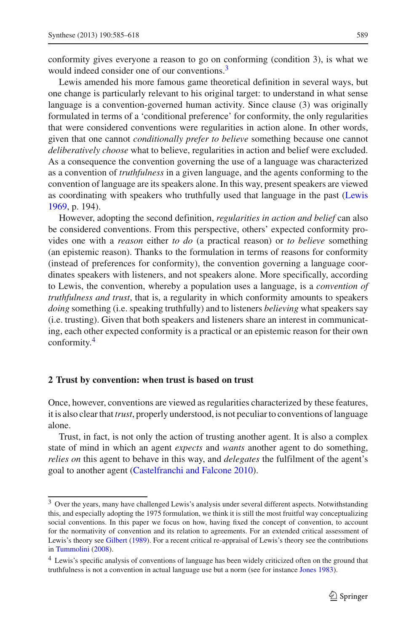conformity gives everyone a reason to go on conforming (condition 3), is what we would indeed consider one of our conventions.<sup>[3](#page-4-0)</sup>

Lewis amended his more famous game theoretical definition in several ways, but one change is particularly relevant to his original target: to understand in what sense language is a convention-governed human activity. Since clause (3) was originally formulated in terms of a 'conditional preference' for conformity, the only regularities that were considered conventions were regularities in action alone. In other words, given that one cannot *conditionally prefer to believe* something because one cannot *deliberatively choose* what to believe, regularities in action and belief were excluded. As a consequence the convention governing the use of a language was characterized as a convention of *truthfulness* in a given language, and the agents conforming to the convention of language are its speakers alone. In this way, present speakers are viewed as coordinating with speakers who truthfully used that language in the past [\(Lewis](#page-32-2) [1969,](#page-32-2) p. 194).

However, adopting the second definition, *regularities in action and belief* can also be considered conventions. From this perspective, others' expected conformity provides one with a *reason* either *to do* (a practical reason) or *to believe* something (an epistemic reason). Thanks to the formulation in terms of reasons for conformity (instead of preferences for conformity), the convention governing a language coordinates speakers with listeners, and not speakers alone. More specifically, according to Lewis, the convention, whereby a population uses a language, is a *convention of truthfulness and trust*, that is, a regularity in which conformity amounts to speakers *doing* something (i.e. speaking truthfully) and to listeners *believing* what speakers say (i.e. trusting). Given that both speakers and listeners share an interest in communicating, each other expected conformity is a practical or an epistemic reason for their own conformity.[4](#page-4-1)

# <span id="page-4-2"></span>**2 Trust by convention: when trust is based on trust**

Once, however, conventions are viewed as regularities characterized by these features, it is also clear that *trust*, properly understood, is not peculiar to conventions of language alone.

Trust, in fact, is not only the action of trusting another agent. It is also a complex state of mind in which an agent *expects* and *wants* another agent to do something, *relies on* this agent to behave in this way, and *delegates* the fulfilment of the agent's goal to another agent [\(Castelfranchi and Falcone 2010\)](#page-32-8).

<span id="page-4-0"></span><sup>3</sup> Over the years, many have challenged Lewis's analysis under several different aspects. Notwithstanding this, and especially adopting the 1975 formulation, we think it is still the most fruitful way conceptualizing social conventions. In this paper we focus on how, having fixed the concept of convention, to account for the normativity of convention and its relation to agreements. For an extended critical assessment of Lewis's theory see [Gilbert](#page-32-4) [\(1989\)](#page-32-4). For a recent critical re-appraisal of Lewis's theory see the contributions in [Tummolini](#page-33-4) [\(2008](#page-33-4)).

<span id="page-4-1"></span><sup>&</sup>lt;sup>4</sup> Lewis's specific analysis of conventions of language has been widely criticized often on the ground that truthfulness is not a convention in actual language use but a norm (see for instance [Jones 1983\)](#page-32-9).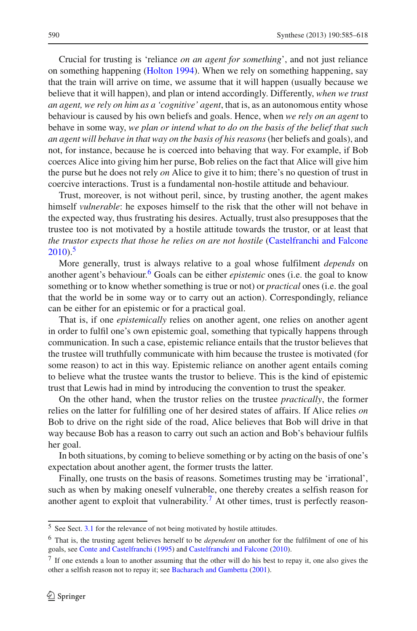Crucial for trusting is 'reliance *on an agent for something*', and not just reliance on something happening [\(Holton 1994\)](#page-32-10). When we rely on something happening, say that the train will arrive on time, we assume that it will happen (usually because we believe that it will happen), and plan or intend accordingly. Differently, *when we trust an agent, we rely on him as a 'cognitive' agent*, that is, as an autonomous entity whose behaviour is caused by his own beliefs and goals. Hence, when *we rely on an agent* to behave in some way, *we plan or intend what to do on the basis of the belief that such an agent will behave in that way on the basis of his reasons*(her beliefs and goals), and not, for instance, because he is coerced into behaving that way. For example, if Bob coerces Alice into giving him her purse, Bob relies on the fact that Alice will give him the purse but he does not rely *on* Alice to give it to him; there's no question of trust in coercive interactions. Trust is a fundamental non-hostile attitude and behaviour.

Trust, moreover, is not without peril, since, by trusting another, the agent makes himself *vulnerable*: he exposes himself to the risk that the other will not behave in the expected way, thus frustrating his desires. Actually, trust also presupposes that the trustee too is not motivated by a hostile attitude towards the trustor, or at least that *the trustor expects that those he relies on are not hostile* [\(Castelfranchi and Falcone](#page-32-8)  $2010$ .<sup>[5](#page-5-0)</sup>

More generally, trust is always relative to a goal whose fulfilment *depends* on another agent's behaviour.<sup>[6](#page-5-1)</sup> Goals can be either *epistemic* ones (i.e. the goal to know something or to know whether something is true or not) or *practical* ones (i.e. the goal that the world be in some way or to carry out an action). Correspondingly, reliance can be either for an epistemic or for a practical goal.

That is, if one *epistemically* relies on another agent, one relies on another agent in order to fulfil one's own epistemic goal, something that typically happens through communication. In such a case, epistemic reliance entails that the trustor believes that the trustee will truthfully communicate with him because the trustee is motivated (for some reason) to act in this way. Epistemic reliance on another agent entails coming to believe what the trustee wants the trustor to believe. This is the kind of epistemic trust that Lewis had in mind by introducing the convention to trust the speaker.

On the other hand, when the trustor relies on the trustee *practically*, the former relies on the latter for fulfilling one of her desired states of affairs. If Alice relies *on* Bob to drive on the right side of the road, Alice believes that Bob will drive in that way because Bob has a reason to carry out such an action and Bob's behaviour fulfils her goal.

In both situations, by coming to believe something or by acting on the basis of one's expectation about another agent, the former trusts the latter.

Finally, one trusts on the basis of reasons. Sometimes trusting may be 'irrational', such as when by making oneself vulnerable, one thereby creates a selfish reason for another agent to exploit that vulnerability.<sup>[7](#page-5-2)</sup> At other times, trust is perfectly reason-

<sup>5</sup> See Sect. [3.1](#page-9-0) for the relevance of not being motivated by hostile attitudes.

<span id="page-5-1"></span><span id="page-5-0"></span><sup>6</sup> That is, the trusting agent believes herself to be *dependent* on another for the fulfilment of one of his goals, see [Conte and Castelfranchi](#page-32-11) [\(1995](#page-32-11)) and [Castelfranchi and Falcone](#page-32-8) [\(2010](#page-32-8)).

<span id="page-5-2"></span><sup>7</sup> If one extends a loan to another assuming that the other will do his best to repay it, one also gives the other a selfish reason not to repay it; see [Bacharach and Gambetta](#page-32-12) [\(2001\)](#page-32-12).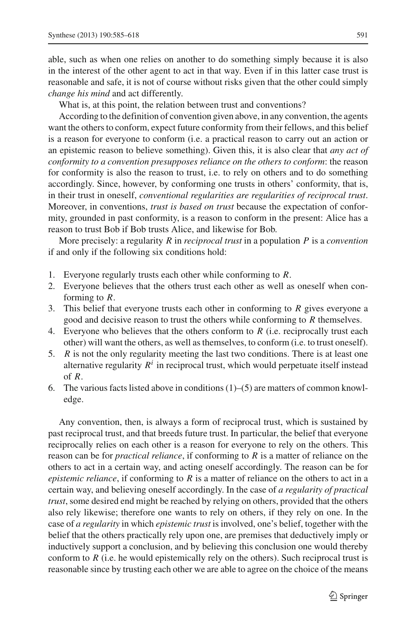able, such as when one relies on another to do something simply because it is also in the interest of the other agent to act in that way. Even if in this latter case trust is reasonable and safe, it is not of course without risks given that the other could simply *change his mind* and act differently.

What is, at this point, the relation between trust and conventions?

According to the definition of convention given above, in any convention, the agents want the others to conform, expect future conformity from their fellows, and this belief is a reason for everyone to conform (i.e. a practical reason to carry out an action or an epistemic reason to believe something). Given this, it is also clear that *any act of conformity to a convention presupposes reliance on the others to conform*: the reason for conformity is also the reason to trust, i.e. to rely on others and to do something accordingly. Since, however, by conforming one trusts in others' conformity, that is, in their trust in oneself, *conventional regularities are regularities of reciprocal trust*. Moreover, in conventions, *trust is based on trust* because the expectation of conformity, grounded in past conformity, is a reason to conform in the present: Alice has a reason to trust Bob if Bob trusts Alice, and likewise for Bob.

More precisely: a regularity *R* in *reciprocal trust* in a population *P* is a *convention* if and only if the following six conditions hold:

- 1. Everyone regularly trusts each other while conforming to *R*.
- 2. Everyone believes that the others trust each other as well as oneself when conforming to *R*.
- 3. This belief that everyone trusts each other in conforming to *R* gives everyone a good and decisive reason to trust the others while conforming to *R* themselves.
- 4. Everyone who believes that the others conform to *R* (i.e. reciprocally trust each other) will want the others, as well as themselves, to conform (i.e. to trust oneself).
- 5. *R* is not the only regularity meeting the last two conditions. There is at least one alternative regularity  $R^i$  in reciprocal trust, which would perpetuate itself instead of *R*.
- 6. The various facts listed above in conditions  $(1)$ – $(5)$  are matters of common knowledge.

Any convention, then, is always a form of reciprocal trust, which is sustained by past reciprocal trust, and that breeds future trust. In particular, the belief that everyone reciprocally relies on each other is a reason for everyone to rely on the others. This reason can be for *practical reliance*, if conforming to *R* is a matter of reliance on the others to act in a certain way, and acting oneself accordingly. The reason can be for *epistemic reliance*, if conforming to *R* is a matter of reliance on the others to act in a certain way, and believing oneself accordingly. In the case of *a regularity of practical trust*, some desired end might be reached by relying on others, provided that the others also rely likewise; therefore one wants to rely on others, if they rely on one. In the case of *a regularity* in which *epistemic trust* is involved, one's belief, together with the belief that the others practically rely upon one, are premises that deductively imply or inductively support a conclusion, and by believing this conclusion one would thereby conform to *R* (i.e. he would epistemically rely on the others). Such reciprocal trust is reasonable since by trusting each other we are able to agree on the choice of the means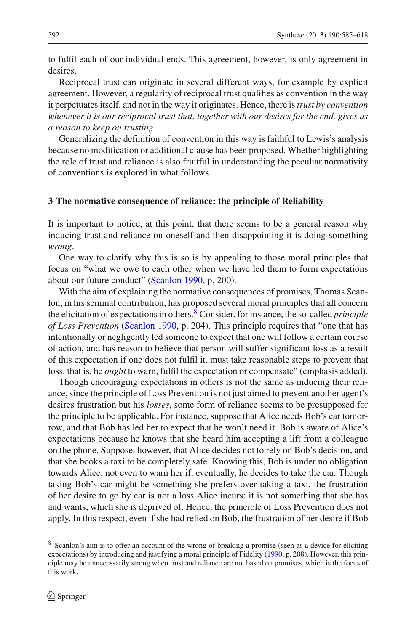to fulfil each of our individual ends. This agreement, however, is only agreement in desires.

Reciprocal trust can originate in several different ways, for example by explicit agreement. However, a regularity of reciprocal trust qualifies as convention in the way it perpetuates itself, and not in the way it originates. Hence, there is*trust by convention whenever it is our reciprocal trust that, together with our desires for the end, gives us a reason to keep on trusting*.

Generalizing the definition of convention in this way is faithful to Lewis's analysis because no modification or additional clause has been proposed. Whether highlighting the role of trust and reliance is also fruitful in understanding the peculiar normativity of conventions is explored in what follows.

# <span id="page-7-0"></span>**3 The normative consequence of reliance: the principle of Reliability**

It is important to notice, at this point, that there seems to be a general reason why inducing trust and reliance on oneself and then disappointing it is doing something *wrong*.

One way to clarify why this is so is by appealing to those moral principles that focus on "what we owe to each other when we have led them to form expectations about our future conduct" [\(Scanlon 1990,](#page-33-5) p. 200).

With the aim of explaining the normative consequences of promises, Thomas Scanlon, in his seminal contribution, has proposed several moral principles that all concern the elicitation of expectations in others.[8](#page-7-1) Consider, for instance, the so-called *principle of Loss Prevention* [\(Scanlon 1990](#page-33-5), p. 204). This principle requires that "one that has intentionally or negligently led someone to expect that one will follow a certain course of action, and has reason to believe that person will suffer significant loss as a result of this expectation if one does not fulfil it, must take reasonable steps to prevent that loss, that is, he *ought* to warn, fulfil the expectation or compensate" (emphasis added).

Though encouraging expectations in others is not the same as inducing their reliance, since the principle of Loss Prevention is not just aimed to prevent another agent's desires frustration but his *losses*, some form of reliance seems to be presupposed for the principle to be applicable. For instance, suppose that Alice needs Bob's car tomorrow, and that Bob has led her to expect that he won't need it. Bob is aware of Alice's expectations because he knows that she heard him accepting a lift from a colleague on the phone. Suppose, however, that Alice decides not to rely on Bob's decision, and that she books a taxi to be completely safe. Knowing this, Bob is under no obligation towards Alice, not even to warn her if, eventually, he decides to take the car. Though taking Bob's car might be something she prefers over taking a taxi, the frustration of her desire to go by car is not a loss Alice incurs: it is not something that she has and wants, which she is deprived of. Hence, the principle of Loss Prevention does not apply. In this respect, even if she had relied on Bob, the frustration of her desire if Bob

<span id="page-7-1"></span><sup>8</sup> Scanlon's aim is to offer an account of the wrong of breaking a promise (seen as a device for eliciting expectations) by introducing and justifying a moral principle of Fidelity [\(1990,](#page-33-5) p. 208). However, this principle may be unnecessarily strong when trust and reliance are not based on promises, which is the focus of this work.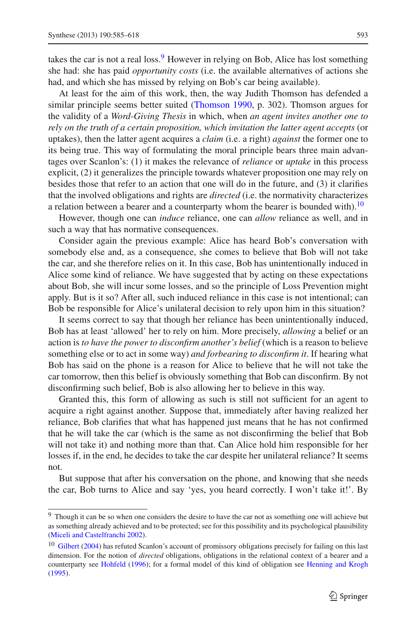takes the car is not a real loss. <sup>[9](#page-8-0)</sup> However in relying on Bob, Alice has lost something she had: she has paid *opportunity costs* (i.e. the available alternatives of actions she had, and which she has missed by relying on Bob's car being available).

At least for the aim of this work, then, the way Judith Thomson has defended a similar principle seems better suited [\(Thomson 1990,](#page-33-6) p. 302). Thomson argues for the validity of a *Word-Giving Thesis* in which, when *an agent invites another one to rely on the truth of a certain proposition, which invitation the latter agent accepts* (or uptakes), then the latter agent acquires a *claim* (i.e. a right) *against* the former one to its being true. This way of formulating the moral principle bears three main advantages over Scanlon's: (1) it makes the relevance of *reliance* or *uptake* in this process explicit, (2) it generalizes the principle towards whatever proposition one may rely on besides those that refer to an action that one will do in the future, and (3) it clarifies that the involved obligations and rights are *directed* (i.e. the normativity characterizes a relation between a bearer and a counterparty whom the bearer is bounded with).<sup>10</sup>

However, though one can *induce* reliance, one can *allow* reliance as well, and in such a way that has normative consequences.

Consider again the previous example: Alice has heard Bob's conversation with somebody else and, as a consequence, she comes to believe that Bob will not take the car, and she therefore relies on it. In this case, Bob has unintentionally induced in Alice some kind of reliance. We have suggested that by acting on these expectations about Bob, she will incur some losses, and so the principle of Loss Prevention might apply. But is it so? After all, such induced reliance in this case is not intentional; can Bob be responsible for Alice's unilateral decision to rely upon him in this situation?

It seems correct to say that though her reliance has been unintentionally induced, Bob has at least 'allowed' her to rely on him. More precisely, *allowing* a belief or an action is *to have the power to disconfirm another's belief* (which is a reason to believe something else or to act in some way) *and forbearing to disconfirm it*. If hearing what Bob has said on the phone is a reason for Alice to believe that he will not take the car tomorrow, then this belief is obviously something that Bob can disconfirm. By not disconfirming such belief, Bob is also allowing her to believe in this way.

Granted this, this form of allowing as such is still not sufficient for an agent to acquire a right against another. Suppose that, immediately after having realized her reliance, Bob clarifies that what has happened just means that he has not confirmed that he will take the car (which is the same as not disconfirming the belief that Bob will not take it) and nothing more than that. Can Alice hold him responsible for her losses if, in the end, he decides to take the car despite her unilateral reliance? It seems not.

But suppose that after his conversation on the phone, and knowing that she needs the car, Bob turns to Alice and say 'yes, you heard correctly. I won't take it!'. By

<span id="page-8-0"></span><sup>&</sup>lt;sup>9</sup> Though it can be so when one considers the desire to have the car not as something one will achieve but as something already achieved and to be protected; see for this possibility and its psychological plausibility [\(Miceli and Castelfranchi 2002](#page-32-13)).

<span id="page-8-1"></span><sup>&</sup>lt;sup>10</sup> [Gilbert](#page-32-14) [\(2004](#page-32-14)) has refuted Scanlon's account of promissory obligations precisely for failing on this last dimension. For the notion of *directed* obligations, obligations in the relational context of a bearer and a counterparty see [Hohfeld](#page-32-15) [\(1996\)](#page-32-15); for a formal model of this kind of obligation see [Henning and Krogh](#page-32-16) [\(1995](#page-32-16)).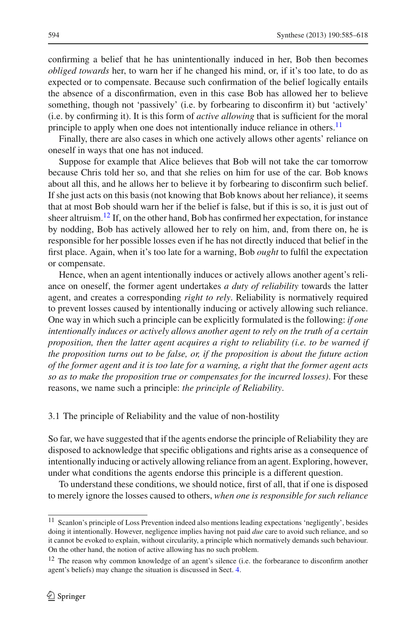confirming a belief that he has unintentionally induced in her, Bob then becomes *obliged towards* her, to warn her if he changed his mind, or, if it's too late, to do as expected or to compensate. Because such confirmation of the belief logically entails the absence of a disconfirmation, even in this case Bob has allowed her to believe something, though not 'passively' (i.e. by forbearing to disconfirm it) but 'actively' (i.e. by confirming it). It is this form of *active allowing* that is sufficient for the moral principle to apply when one does not intentionally induce reliance in others.<sup>[11](#page-9-1)</sup>

Finally, there are also cases in which one actively allows other agents' reliance on oneself in ways that one has not induced.

Suppose for example that Alice believes that Bob will not take the car tomorrow because Chris told her so, and that she relies on him for use of the car. Bob knows about all this, and he allows her to believe it by forbearing to disconfirm such belief. If she just acts on this basis (not knowing that Bob knows about her reliance), it seems that at most Bob should warn her if the belief is false, but if this is so, it is just out of sheer altruism.<sup>[12](#page-9-2)</sup> If, on the other hand, Bob has confirmed her expectation, for instance by nodding, Bob has actively allowed her to rely on him, and, from there on, he is responsible for her possible losses even if he has not directly induced that belief in the first place. Again, when it's too late for a warning, Bob *ought* to fulfil the expectation or compensate.

Hence, when an agent intentionally induces or actively allows another agent's reliance on oneself, the former agent undertakes *a duty of reliability* towards the latter agent, and creates a corresponding *right to rely*. Reliability is normatively required to prevent losses caused by intentionally inducing or actively allowing such reliance. One way in which such a principle can be explicitly formulated is the following: *if one intentionally induces or actively allows another agent to rely on the truth of a certain proposition, then the latter agent acquires a right to reliability (i.e. to be warned if the proposition turns out to be false, or, if the proposition is about the future action of the former agent and it is too late for a warning, a right that the former agent acts so as to make the proposition true or compensates for the incurred losses)*. For these reasons, we name such a principle: *the principle of Reliability*.

<span id="page-9-0"></span>3.1 The principle of Reliability and the value of non-hostility

So far, we have suggested that if the agents endorse the principle of Reliability they are disposed to acknowledge that specific obligations and rights arise as a consequence of intentionally inducing or actively allowing reliance from an agent. Exploring, however, under what conditions the agents endorse this principle is a different question.

To understand these conditions, we should notice, first of all, that if one is disposed to merely ignore the losses caused to others, *when one is responsible for such reliance*

<span id="page-9-1"></span><sup>&</sup>lt;sup>11</sup> Scanlon's principle of Loss Prevention indeed also mentions leading expectations 'negligently', besides doing it intentionally. However, negligence implies having not paid *due* care to avoid such reliance, and so it cannot be evoked to explain, without circularity, a principle which normatively demands such behaviour. On the other hand, the notion of active allowing has no such problem.

<span id="page-9-2"></span><sup>&</sup>lt;sup>12</sup> The reason why common knowledge of an agent's silence (i.e. the forbearance to disconfirm another agent's beliefs) may change the situation is discussed in Sect. [4.](#page-12-0)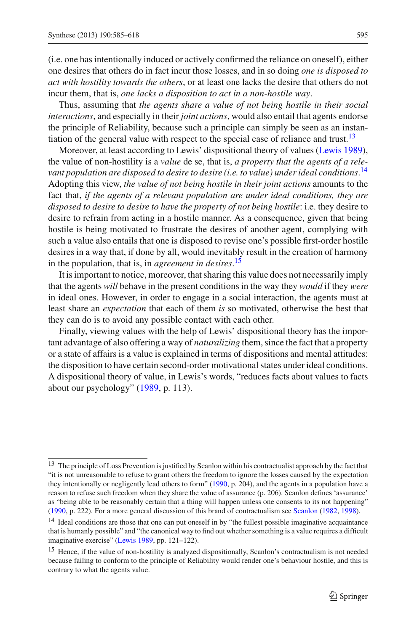(i.e. one has intentionally induced or actively confirmed the reliance on oneself), either one desires that others do in fact incur those losses, and in so doing *one is disposed to act with hostility towards the others*, or at least one lacks the desire that others do not incur them, that is, *one lacks a disposition to act in a non-hostile way*.

Thus, assuming that *the agents share a value of not being hostile in their social interactions*, and especially in their *joint actions*, would also entail that agents endorse the principle of Reliability, because such a principle can simply be seen as an instantiation of the general value with respect to the special case of reliance and trust.<sup>13</sup>

Moreover, at least according to Lewis' dispositional theory of values [\(Lewis 1989](#page-32-0)), the value of non-hostility is a *value* de se, that is, *a property that the agents of a relevant population are disposed to desire to desire (i.e. to value) under ideal conditions*. [14](#page-10-1) Adopting this view, *the value of not being hostile in their joint actions* amounts to the fact that, *if the agents of a relevant population are under ideal conditions, they are disposed to desire to desire to have the property of not being hostile*: i.e. they desire to desire to refrain from acting in a hostile manner. As a consequence, given that being hostile is being motivated to frustrate the desires of another agent, complying with such a value also entails that one is disposed to revise one's possible first-order hostile desires in a way that, if done by all, would inevitably result in the creation of harmony in the population, that is, in *agreement in desires*. [15](#page-10-2)

It is important to notice, moreover, that sharing this value does not necessarily imply that the agents *will* behave in the present conditions in the way they *would* if they *were* in ideal ones. However, in order to engage in a social interaction, the agents must at least share an *expectation* that each of them *is* so motivated, otherwise the best that they can do is to avoid any possible contact with each other.

Finally, viewing values with the help of Lewis' dispositional theory has the important advantage of also offering a way of *naturalizing* them, since the fact that a property or a state of affairs is a value is explained in terms of dispositions and mental attitudes: the disposition to have certain second-order motivational states under ideal conditions. A dispositional theory of value, in Lewis's words, "reduces facts about values to facts about our psychology" [\(1989](#page-32-0), p. 113).

<span id="page-10-0"></span><sup>&</sup>lt;sup>13</sup> The principle of Loss Prevention is justified by Scanlon within his contractualist approach by the fact that "it is not unreasonable to refuse to grant others the freedom to ignore the losses caused by the expectation they intentionally or negligently lead others to form" [\(1990,](#page-33-5) p. 204), and the agents in a population have a reason to refuse such freedom when they share the value of assurance (p. 206). Scanlon defines 'assurance' as "being able to be reasonably certain that a thing will happen unless one consents to its not happening" [\(1990](#page-33-5), p. 222). For a more general discussion of this brand of contractualism see [Scanlon](#page-33-7) [\(1982,](#page-33-7) [1998\)](#page-33-8).

<span id="page-10-1"></span><sup>&</sup>lt;sup>14</sup> Ideal conditions are those that one can put oneself in by "the fullest possible imaginative acquaintance that is humanly possible" and "the canonical way to find out whether something is a value requires a difficult imaginative exercise" [\(Lewis 1989](#page-32-0), pp. 121–122).

<span id="page-10-2"></span><sup>&</sup>lt;sup>15</sup> Hence, if the value of non-hostility is analyzed dispositionally, Scanlon's contractualism is not needed because failing to conform to the principle of Reliability would render one's behaviour hostile, and this is contrary to what the agents value.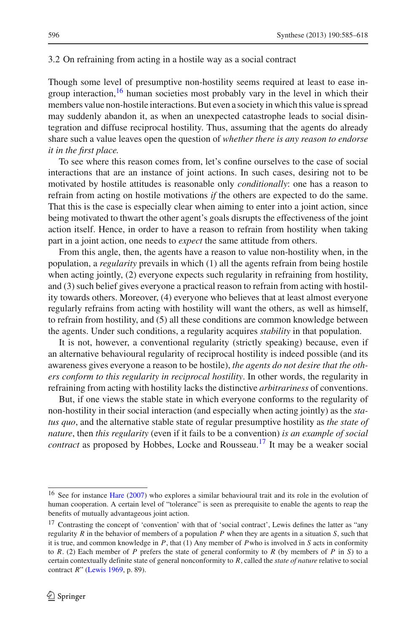#### 3.2 On refraining from acting in a hostile way as a social contract

Though some level of presumptive non-hostility seems required at least to ease ingroup interaction, $16$  human societies most probably vary in the level in which their members value non-hostile interactions. But even a society in which this value is spread may suddenly abandon it, as when an unexpected catastrophe leads to social disintegration and diffuse reciprocal hostility. Thus, assuming that the agents do already share such a value leaves open the question of *whether there is any reason to endorse it in the first place.*

To see where this reason comes from, let's confine ourselves to the case of social interactions that are an instance of joint actions. In such cases, desiring not to be motivated by hostile attitudes is reasonable only *conditionally*: one has a reason to refrain from acting on hostile motivations *if* the others are expected to do the same. That this is the case is especially clear when aiming to enter into a joint action, since being motivated to thwart the other agent's goals disrupts the effectiveness of the joint action itself. Hence, in order to have a reason to refrain from hostility when taking part in a joint action, one needs to *expect* the same attitude from others.

From this angle, then, the agents have a reason to value non-hostility when, in the population, a *regularity* prevails in which (1) all the agents refrain from being hostile when acting jointly, (2) everyone expects such regularity in refraining from hostility, and (3) such belief gives everyone a practical reason to refrain from acting with hostility towards others. Moreover, (4) everyone who believes that at least almost everyone regularly refrains from acting with hostility will want the others, as well as himself, to refrain from hostility, and (5) all these conditions are common knowledge between the agents. Under such conditions, a regularity acquires *stability* in that population.

It is not, however, a conventional regularity (strictly speaking) because, even if an alternative behavioural regularity of reciprocal hostility is indeed possible (and its awareness gives everyone a reason to be hostile), *the agents do not desire that the others conform to this regularity in reciprocal hostility*. In other words, the regularity in refraining from acting with hostility lacks the distinctive *arbitrariness* of conventions.

But, if one views the stable state in which everyone conforms to the regularity of non-hostility in their social interaction (and especially when acting jointly) as the *status quo*, and the alternative stable state of regular presumptive hostility as *the state of nature*, then *this regularity* (even if it fails to be a convention) *is an example of social contract* as proposed by Hobbes, Locke and Rousseau.<sup>[17](#page-11-1)</sup> It may be a weaker social

<span id="page-11-0"></span><sup>&</sup>lt;sup>16</sup> See for instance [Hare](#page-32-17) [\(2007](#page-32-17)) who explores a similar behavioural trait and its role in the evolution of human cooperation. A certain level of "tolerance" is seen as prerequisite to enable the agents to reap the benefits of mutually advantageous joint action.

<span id="page-11-1"></span><sup>&</sup>lt;sup>17</sup> Contrasting the concept of 'convention' with that of 'social contract', Lewis defines the latter as "any regularity *R* in the behavior of members of a population *P* when they are agents in a situation *S*, such that it is true, and common knowledge in *P*, that (1) Any member of *P*who is involved in *S* acts in conformity to *R*. (2) Each member of *P* prefers the state of general conformity to *R* (by members of *P* in *S*) to a certain contextually definite state of general nonconformity to *R*, called the *state of nature* relative to social contract *R*" [\(Lewis 1969,](#page-32-2) p. 89).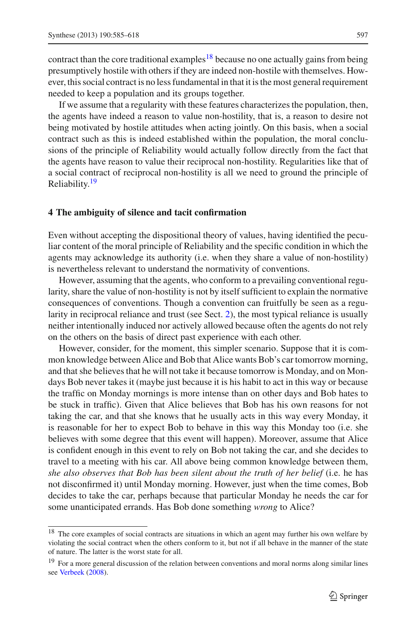contract than the core traditional examples<sup>[18](#page-12-1)</sup> because no one actually gains from being presumptively hostile with others if they are indeed non-hostile with themselves. However, this social contract is no less fundamental in that it is the most general requirement needed to keep a population and its groups together.

If we assume that a regularity with these features characterizes the population, then, the agents have indeed a reason to value non-hostility, that is, a reason to desire not being motivated by hostile attitudes when acting jointly. On this basis, when a social contract such as this is indeed established within the population, the moral conclusions of the principle of Reliability would actually follow directly from the fact that the agents have reason to value their reciprocal non-hostility. Regularities like that of a social contract of reciprocal non-hostility is all we need to ground the principle of Reliability.<sup>[19](#page-12-2)</sup>

# <span id="page-12-0"></span>**4 The ambiguity of silence and tacit confirmation**

Even without accepting the dispositional theory of values, having identified the peculiar content of the moral principle of Reliability and the specific condition in which the agents may acknowledge its authority (i.e. when they share a value of non-hostility) is nevertheless relevant to understand the normativity of conventions.

However, assuming that the agents, who conform to a prevailing conventional regularity, share the value of non-hostility is not by itself sufficient to explain the normative consequences of conventions. Though a convention can fruitfully be seen as a regularity in reciprocal reliance and trust (see Sect. [2\)](#page-4-2), the most typical reliance is usually neither intentionally induced nor actively allowed because often the agents do not rely on the others on the basis of direct past experience with each other.

However, consider, for the moment, this simpler scenario. Suppose that it is common knowledge between Alice and Bob that Alice wants Bob's car tomorrow morning, and that she believes that he will not take it because tomorrow is Monday, and on Mondays Bob never takes it (maybe just because it is his habit to act in this way or because the traffic on Monday mornings is more intense than on other days and Bob hates to be stuck in traffic). Given that Alice believes that Bob has his own reasons for not taking the car, and that she knows that he usually acts in this way every Monday, it is reasonable for her to expect Bob to behave in this way this Monday too (i.e. she believes with some degree that this event will happen). Moreover, assume that Alice is confident enough in this event to rely on Bob not taking the car, and she decides to travel to a meeting with his car. All above being common knowledge between them, *she also observes that Bob has been silent about the truth of her belief* (i.e. he has not disconfirmed it) until Monday morning. However, just when the time comes, Bob decides to take the car, perhaps because that particular Monday he needs the car for some unanticipated errands. Has Bob done something *wrong* to Alice?

<span id="page-12-1"></span><sup>&</sup>lt;sup>18</sup> The core examples of social contracts are situations in which an agent may further his own welfare by violating the social contract when the others conform to it, but not if all behave in the manner of the state of nature. The latter is the worst state for all.

<span id="page-12-2"></span><sup>&</sup>lt;sup>19</sup> For a more general discussion of the relation between conventions and moral norms along similar lines see [Verbeek](#page-33-9) [\(2008\)](#page-33-9).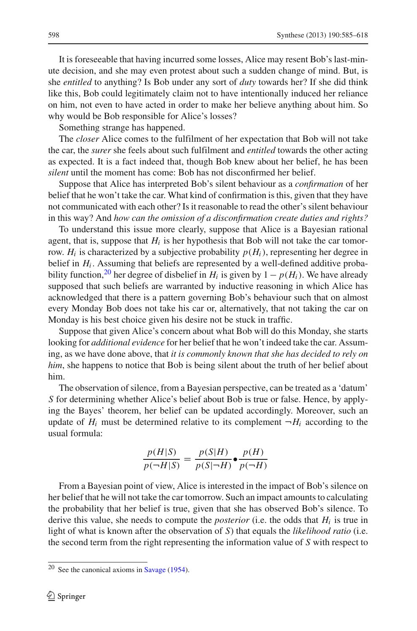It is foreseeable that having incurred some losses, Alice may resent Bob's last-minute decision, and she may even protest about such a sudden change of mind. But, is she *entitled* to anything? Is Bob under any sort of *duty* towards her? If she did think like this, Bob could legitimately claim not to have intentionally induced her reliance on him, not even to have acted in order to make her believe anything about him. So why would be Bob responsible for Alice's losses?

Something strange has happened.

The *closer* Alice comes to the fulfilment of her expectation that Bob will not take the car, the *surer* she feels about such fulfilment and *entitled* towards the other acting as expected. It is a fact indeed that, though Bob knew about her belief, he has been *silent* until the moment has come: Bob has not disconfirmed her belief.

Suppose that Alice has interpreted Bob's silent behaviour as a *confirmation* of her belief that he won't take the car. What kind of confirmation is this, given that they have not communicated with each other? Is it reasonable to read the other's silent behaviour in this way? And *how can the omission of a disconfirmation create duties and rights?*

To understand this issue more clearly, suppose that Alice is a Bayesian rational agent, that is, suppose that  $H_i$  is her hypothesis that Bob will not take the car tomorrow.  $H_i$  is characterized by a subjective probability  $p(H_i)$ , representing her degree in belief in  $H_i$ . Assuming that beliefs are represented by a well-defined additive proba-bility function,<sup>[20](#page-13-0)</sup> her degree of disbelief in  $H_i$  is given by  $1 - p(H_i)$ . We have already supposed that such beliefs are warranted by inductive reasoning in which Alice has acknowledged that there is a pattern governing Bob's behaviour such that on almost every Monday Bob does not take his car or, alternatively, that not taking the car on Monday is his best choice given his desire not be stuck in traffic.

Suppose that given Alice's concern about what Bob will do this Monday, she starts looking for *additional evidence* for her belief that he won't indeed take the car. Assuming, as we have done above, that *it is commonly known that she has decided to rely on him*, she happens to notice that Bob is being silent about the truth of her belief about him.

The observation of silence, from a Bayesian perspective, can be treated as a 'datum' *S* for determining whether Alice's belief about Bob is true or false. Hence, by applying the Bayes' theorem, her belief can be updated accordingly. Moreover, such an update of  $H_i$  must be determined relative to its complement  $\neg H_i$  according to the usual formula:

$$
\frac{p(H|S)}{p(\neg H|S)} = \frac{p(S|H)}{p(S|\neg H)} \bullet \frac{p(H)}{p(\neg H)}
$$

From a Bayesian point of view, Alice is interested in the impact of Bob's silence on her belief that he will not take the car tomorrow. Such an impact amounts to calculating the probability that her belief is true, given that she has observed Bob's silence. To derive this value, she needs to compute the *posterior* (i.e. the odds that *Hi* is true in light of what is known after the observation of *S*) that equals the *likelihood ratio* (i.e. the second term from the right representing the information value of *S* with respect to

<span id="page-13-0"></span> $20$  See the canonical axioms in [Savage](#page-33-10) [\(1954](#page-33-10)).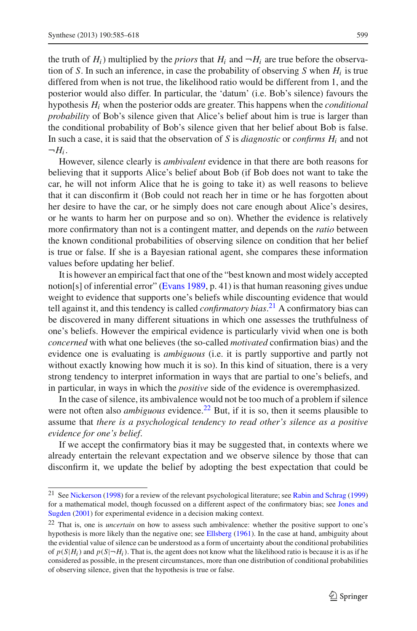the truth of  $H_i$ ) multiplied by the *priors* that  $H_i$  and  $\neg H_i$  are true before the observation of *S*. In such an inference, in case the probability of observing *S* when *Hi* is true differed from when is not true, the likelihood ratio would be different from 1, and the posterior would also differ. In particular, the 'datum' (i.e. Bob's silence) favours the hypothesis *Hi* when the posterior odds are greater. This happens when the *conditional probability* of Bob's silence given that Alice's belief about him is true is larger than the conditional probability of Bob's silence given that her belief about Bob is false. In such a case, it is said that the observation of *S* is *diagnostic* or *confirms Hi* and not  $\neg H_i$ .

However, silence clearly is *ambivalent* evidence in that there are both reasons for believing that it supports Alice's belief about Bob (if Bob does not want to take the car, he will not inform Alice that he is going to take it) as well reasons to believe that it can disconfirm it (Bob could not reach her in time or he has forgotten about her desire to have the car, or he simply does not care enough about Alice's desires, or he wants to harm her on purpose and so on). Whether the evidence is relatively more confirmatory than not is a contingent matter, and depends on the *ratio* between the known conditional probabilities of observing silence on condition that her belief is true or false. If she is a Bayesian rational agent, she compares these information values before updating her belief.

It is however an empirical fact that one of the "best known and most widely accepted notion[s] of inferential error" [\(Evans 1989,](#page-32-18) p. 41) is that human reasoning gives undue weight to evidence that supports one's beliefs while discounting evidence that would tell against it, and this tendency is called *confirmatory bias*. [21](#page-14-0) A confirmatory bias can be discovered in many different situations in which one assesses the truthfulness of one's beliefs. However the empirical evidence is particularly vivid when one is both *concerned* with what one believes (the so-called *motivated* confirmation bias) and the evidence one is evaluating is *ambiguous* (i.e. it is partly supportive and partly not without exactly knowing how much it is so). In this kind of situation, there is a very strong tendency to interpret information in ways that are partial to one's beliefs, and in particular, in ways in which the *positive* side of the evidence is overemphasized.

In the case of silence, its ambivalence would not be too much of a problem if silence were not often also *ambiguous* evidence.<sup>22</sup> But, if it is so, then it seems plausible to assume that *there is a psychological tendency to read other's silence as a positive evidence for one's belief*.

If we accept the confirmatory bias it may be suggested that, in contexts where we already entertain the relevant expectation and we observe silence by those that can disconfirm it, we update the belief by adopting the best expectation that could be

<span id="page-14-0"></span><sup>&</sup>lt;sup>21</sup> See [Nickerson](#page-33-11) [\(1998](#page-33-11)) for a review of the relevant psychological literature; see [Rabin and Schrag](#page-33-12) [\(1999](#page-33-12)) for a m[athematical](#page-32-19) [model,](#page-32-19) [though](#page-32-19) [focussed](#page-32-19) [on](#page-32-19) [a](#page-32-19) [different](#page-32-19) [aspect](#page-32-19) [of](#page-32-19) [the](#page-32-19) [confirmatory](#page-32-19) [bias;](#page-32-19) [see](#page-32-19) Jones and Sugden [\(2001](#page-32-19)) for experimental evidence in a decision making context.

<span id="page-14-1"></span><sup>22</sup> That is, one is *uncertain* on how to assess such ambivalence: whether the positive support to one's hypothesis is more likely than the negative one; see [Ellsberg](#page-32-20) [\(1961](#page-32-20)). In the case at hand, ambiguity about the evidential value of silence can be understood as a form of uncertainty about the conditional probabilities of  $p(S|H_i)$  and  $p(S|\neg H_i)$ . That is, the agent does not know what the likelihood ratio is because it is as if he considered as possible, in the present circumstances, more than one distribution of conditional probabilities of observing silence, given that the hypothesis is true or false.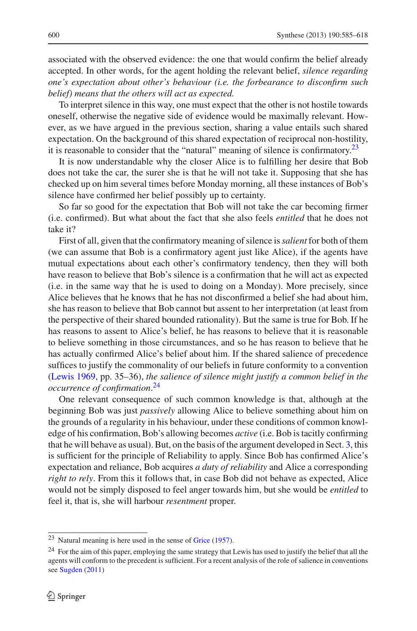associated with the observed evidence: the one that would confirm the belief already accepted. In other words, for the agent holding the relevant belief, *silence regarding one's expectation about other's behaviour (i.e. the forbearance to disconfirm such belief) means that the others will act as expected.*

To interpret silence in this way, one must expect that the other is not hostile towards oneself, otherwise the negative side of evidence would be maximally relevant. However, as we have argued in the previous section, sharing a value entails such shared expectation. On the background of this shared expectation of reciprocal non-hostility, it is reasonable to consider that the "natural" meaning of silence is confirmatory.<sup>23</sup>

It is now understandable why the closer Alice is to fulfilling her desire that Bob does not take the car, the surer she is that he will not take it. Supposing that she has checked up on him several times before Monday morning, all these instances of Bob's silence have confirmed her belief possibly up to certainty.

So far so good for the expectation that Bob will not take the car becoming firmer (i.e. confirmed). But what about the fact that she also feels *entitled* that he does not take it?

First of all, given that the confirmatory meaning of silence is*salient* for both of them (we can assume that Bob is a confirmatory agent just like Alice), if the agents have mutual expectations about each other's confirmatory tendency, then they will both have reason to believe that Bob's silence is a confirmation that he will act as expected (i.e. in the same way that he is used to doing on a Monday). More precisely, since Alice believes that he knows that he has not disconfirmed a belief she had about him, she has reason to believe that Bob cannot but assent to her interpretation (at least from the perspective of their shared bounded rationality). But the same is true for Bob. If he has reasons to assent to Alice's belief, he has reasons to believe that it is reasonable to believe something in those circumstances, and so he has reason to believe that he has actually confirmed Alice's belief about him. If the shared salience of precedence suffices to justify the commonality of our beliefs in future conformity to a convention [\(Lewis 1969,](#page-32-2) pp. 35–36), *the salience of silence might justify a common belief in the occurrence of confirmation*. [24](#page-15-1)

One relevant consequence of such common knowledge is that, although at the beginning Bob was just *passively* allowing Alice to believe something about him on the grounds of a regularity in his behaviour, under these conditions of common knowledge of his confirmation, Bob's allowing becomes *active* (i.e. Bob is tacitly confirming that he will behave as usual). But, on the basis of the argument developed in Sect. [3,](#page-7-0) this is sufficient for the principle of Reliability to apply. Since Bob has confirmed Alice's expectation and reliance, Bob acquires *a duty of reliability* and Alice a corresponding *right to rely*. From this it follows that, in case Bob did not behave as expected, Alice would not be simply disposed to feel anger towards him, but she would be *entitled* to feel it, that is, she will harbour *resentment* proper.

<sup>23</sup> Natural meaning is here used in the sense of [Grice](#page-32-21) [\(1957](#page-32-21)).

<span id="page-15-1"></span><span id="page-15-0"></span><sup>&</sup>lt;sup>24</sup> For the aim of this paper, employing the same strategy that Lewis has used to justify the belief that all the agents will conform to the precedent is sufficient. For a recent analysis of the role of salience in conventions see [Sugden](#page-33-13) [\(2011](#page-33-13))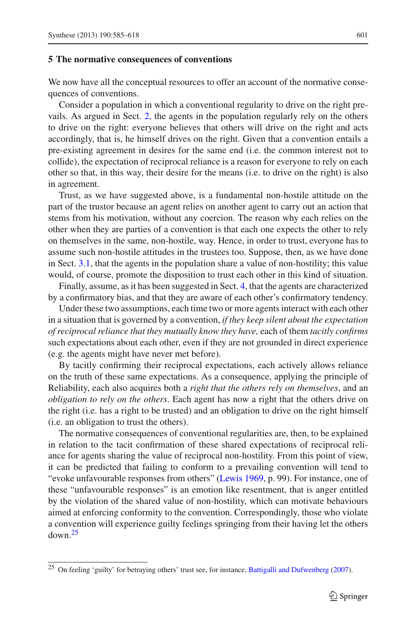#### <span id="page-16-0"></span>**5 The normative consequences of conventions**

We now have all the conceptual resources to offer an account of the normative consequences of conventions.

Consider a population in which a conventional regularity to drive on the right prevails. As argued in Sect. [2,](#page-4-2) the agents in the population regularly rely on the others to drive on the right: everyone believes that others will drive on the right and acts accordingly, that is, he himself drives on the right. Given that a convention entails a pre-existing agreement in desires for the same end (i.e. the common interest not to collide), the expectation of reciprocal reliance is a reason for everyone to rely on each other so that, in this way, their desire for the means (i.e. to drive on the right) is also in agreement.

Trust, as we have suggested above, is a fundamental non-hostile attitude on the part of the trustor because an agent relies on another agent to carry out an action that stems from his motivation, without any coercion. The reason why each relies on the other when they are parties of a convention is that each one expects the other to rely on themselves in the same, non-hostile, way. Hence, in order to trust, everyone has to assume such non-hostile attitudes in the trustees too. Suppose, then, as we have done in Sect. [3.1,](#page-9-0) that the agents in the population share a value of non-hostility; this value would, of course, promote the disposition to trust each other in this kind of situation.

Finally, assume, as it has been suggested in Sect. [4,](#page-12-0) that the agents are characterized by a confirmatory bias, and that they are aware of each other's confirmatory tendency.

Under these two assumptions, each time two or more agents interact with each other in a situation that is governed by a convention, *if they keep silent about the expectation of reciprocal reliance that they mutually know they have,* each of them *tacitly confirms* such expectations about each other, even if they are not grounded in direct experience (e.g. the agents might have never met before).

By tacitly confirming their reciprocal expectations, each actively allows reliance on the truth of these same expectations. As a consequence, applying the principle of Reliability, each also acquires both a *right that the others rely on themselves*, and an *obligation to rely on the others*. Each agent has now a right that the others drive on the right (i.e. has a right to be trusted) and an obligation to drive on the right himself (i.e. an obligation to trust the others).

The normative consequences of conventional regularities are, then, to be explained in relation to the tacit confirmation of these shared expectations of reciprocal reliance for agents sharing the value of reciprocal non-hostility. From this point of view, it can be predicted that failing to conform to a prevailing convention will tend to "evoke unfavourable responses from others" [\(Lewis 1969,](#page-32-2) p. 99). For instance, one of these "unfavourable responses" is an emotion like resentment, that is anger entitled by the violation of the shared value of non-hostility, which can motivate behaviours aimed at enforcing conformity to the convention. Correspondingly, those who violate a convention will experience guilty feelings springing from their having let the others  $down<sup>25</sup>$  $down<sup>25</sup>$  $down<sup>25</sup>$ 

<span id="page-16-1"></span><sup>25</sup> On feeling 'guilty' for betraying others' trust see, for instance, [Battigalli and Dufwenberg](#page-32-22) [\(2007\)](#page-32-22).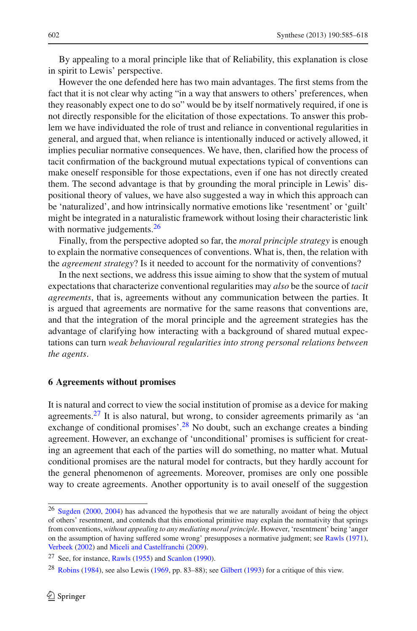By appealing to a moral principle like that of Reliability, this explanation is close in spirit to Lewis' perspective.

However the one defended here has two main advantages. The first stems from the fact that it is not clear why acting "in a way that answers to others' preferences, when they reasonably expect one to do so" would be by itself normatively required, if one is not directly responsible for the elicitation of those expectations. To answer this problem we have individuated the role of trust and reliance in conventional regularities in general, and argued that, when reliance is intentionally induced or actively allowed, it implies peculiar normative consequences. We have, then, clarified how the process of tacit confirmation of the background mutual expectations typical of conventions can make oneself responsible for those expectations, even if one has not directly created them. The second advantage is that by grounding the moral principle in Lewis' dispositional theory of values, we have also suggested a way in which this approach can be 'naturalized', and how intrinsically normative emotions like 'resentment' or 'guilt' might be integrated in a naturalistic framework without losing their characteristic link with normative judgements. $26$ 

Finally, from the perspective adopted so far, the *moral principle strategy* is enough to explain the normative consequences of conventions. What is, then, the relation with the *agreement strategy*? Is it needed to account for the normativity of conventions?

In the next sections, we address this issue aiming to show that the system of mutual expectations that characterize conventional regularities may *also* be the source of *tacit agreements*, that is, agreements without any communication between the parties. It is argued that agreements are normative for the same reasons that conventions are, and that the integration of the moral principle and the agreement strategies has the advantage of clarifying how interacting with a background of shared mutual expectations can turn *weak behavioural regularities into strong personal relations between the agents*.

# **6 Agreements without promises**

It is natural and correct to view the social institution of promise as a device for making agreements. $27$  It is also natural, but wrong, to consider agreements primarily as 'an exchange of conditional promises'.<sup>[28](#page-17-2)</sup> No doubt, such an exchange creates a binding agreement. However, an exchange of 'unconditional' promises is sufficient for creating an agreement that each of the parties will do something, no matter what. Mutual conditional promises are the natural model for contracts, but they hardly account for the general phenomenon of agreements. Moreover, promises are only one possible way to create agreements. Another opportunity is to avail oneself of the suggestion

<span id="page-17-0"></span><sup>&</sup>lt;sup>26</sup> [Sugden](#page-33-1) [\(2000](#page-33-1), [2004\)](#page-33-2) has advanced the hypothesis that we are naturally avoidant of being the object of others' resentment, and contends that this emotional primitive may explain the normativity that springs from conventions, *without appealing to any mediating moral principle*. However, 'resentment' being 'anger on the assumption of having suffered some wrong' presupposes a normative judgment; see [Rawls](#page-33-14) [\(1971](#page-33-14)), [Verbeek](#page-33-3) [\(2002](#page-33-3)) and [Miceli and Castelfranchi](#page-33-15) [\(2009\)](#page-33-15).

<sup>27</sup> See, for instance, [Rawls](#page-33-16) [\(1955](#page-33-16)) and [Scanlon](#page-33-5) [\(1990\)](#page-33-5).

<span id="page-17-2"></span><span id="page-17-1"></span> $^{28}$  [Robins](#page-33-17) [\(1984](#page-33-17)), see also Lewis [\(1969,](#page-32-2) pp. 83–88); see [Gilbert](#page-32-23) [\(1993\)](#page-32-23) for a critique of this view.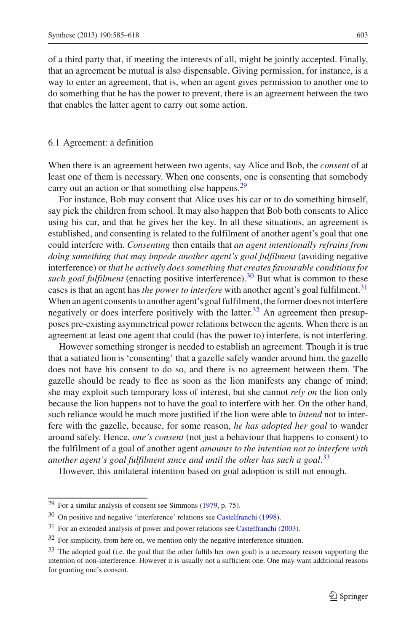of a third party that, if meeting the interests of all, might be jointly accepted. Finally, that an agreement be mutual is also dispensable. Giving permission, for instance, is a way to enter an agreement, that is, when an agent gives permission to another one to do something that he has the power to prevent, there is an agreement between the two that enables the latter agent to carry out some action.

# <span id="page-18-5"></span>6.1 Agreement: a definition

When there is an agreement between two agents, say Alice and Bob, the *consent* of at least one of them is necessary. When one consents, one is consenting that somebody carry out an action or that something else happens.<sup>[29](#page-18-0)</sup>

For instance, Bob may consent that Alice uses his car or to do something himself, say pick the children from school. It may also happen that Bob both consents to Alice using his car, and that he gives her the key. In all these situations, an agreement is established, and consenting is related to the fulfilment of another agent's goal that one could interfere with. *Consenting* then entails that *an agent intentionally refrains from doing something that may impede another agent's goal fulfilment* (avoiding negative interference) or *that he actively does something that creates favourable conditions for such goal fulfilment* (enacting positive interference).<sup>[30](#page-18-1)</sup> But what is common to these cases is that an agent has *the power to interfere* with another agent's goal fulfilment.[31](#page-18-2) When an agent consents to another agent's goal fulfilment, the former does not interfere negatively or does interfere positively with the latter.<sup>[32](#page-18-3)</sup> An agreement then presupposes pre-existing asymmetrical power relations between the agents. When there is an agreement at least one agent that could (has the power to) interfere, is not interfering.

However something stronger is needed to establish an agreement. Though it is true that a satiated lion is 'consenting' that a gazelle safely wander around him, the gazelle does not have his consent to do so, and there is no agreement between them. The gazelle should be ready to flee as soon as the lion manifests any change of mind; she may exploit such temporary loss of interest, but she cannot *rely on* the lion only because the lion happens not to have the goal to interfere with her. On the other hand, such reliance would be much more justified if the lion were able to *intend* not to interfere with the gazelle, because, for some reason, *he has adopted her goal* to wander around safely. Hence, *one's consent* (not just a behaviour that happens to consent) to the fulfilment of a goal of another agent *amounts to the intention not to interfere with another agent's goal fulfilment since and until the other has such a goal*. [33](#page-18-4)

However, this unilateral intention based on goal adoption is still not enough.

 $\overline{29}$  For a similar analysis of consent see Simmons [\(1979](#page-33-18), p. 75).

<span id="page-18-0"></span><sup>30</sup> On positive and negative 'interference' relations see [Castelfranchi](#page-32-24) [\(1998\)](#page-32-24).

<span id="page-18-1"></span> $31$  For an extended analysis of power and power relations see [Castelfranchi](#page-32-25) [\(2003](#page-32-25)).

<span id="page-18-2"></span><sup>&</sup>lt;sup>32</sup> For simplicity, from here on, we mention only the negative interference situation.

<span id="page-18-4"></span><span id="page-18-3"></span><sup>&</sup>lt;sup>33</sup> The adopted goal (i.e. the goal that the other fulfils her own goal) is a necessary reason supporting the intention of non-interference. However it is usually not a sufficient one. One may want additional reasons for granting one's consent.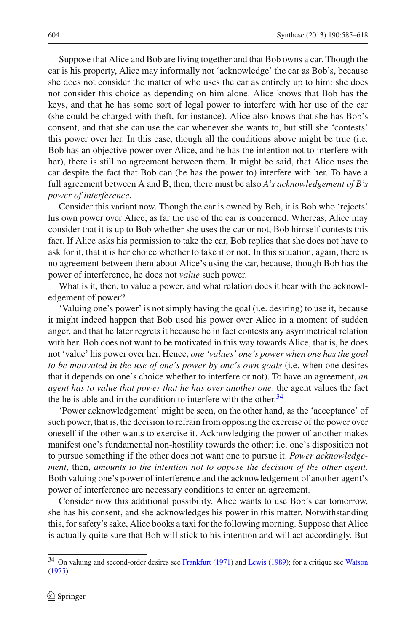Suppose that Alice and Bob are living together and that Bob owns a car. Though the car is his property, Alice may informally not 'acknowledge' the car as Bob's, because she does not consider the matter of who uses the car as entirely up to him: she does not consider this choice as depending on him alone. Alice knows that Bob has the keys, and that he has some sort of legal power to interfere with her use of the car (she could be charged with theft, for instance). Alice also knows that she has Bob's consent, and that she can use the car whenever she wants to, but still she 'contests' this power over her. In this case, though all the conditions above might be true (i.e. Bob has an objective power over Alice, and he has the intention not to interfere with her), there is still no agreement between them. It might be said, that Alice uses the car despite the fact that Bob can (he has the power to) interfere with her. To have a full agreement between A and B, then, there must be also *A's acknowledgement of B's power of interference*.

Consider this variant now. Though the car is owned by Bob, it is Bob who 'rejects' his own power over Alice, as far the use of the car is concerned. Whereas, Alice may consider that it is up to Bob whether she uses the car or not, Bob himself contests this fact. If Alice asks his permission to take the car, Bob replies that she does not have to ask for it, that it is her choice whether to take it or not. In this situation, again, there is no agreement between them about Alice's using the car, because, though Bob has the power of interference, he does not *value* such power.

What is it, then, to value a power, and what relation does it bear with the acknowledgement of power?

'Valuing one's power' is not simply having the goal (i.e. desiring) to use it, because it might indeed happen that Bob used his power over Alice in a moment of sudden anger, and that he later regrets it because he in fact contests any asymmetrical relation with her. Bob does not want to be motivated in this way towards Alice, that is, he does not 'value' his power over her. Hence, *one 'values' one's power when one has the goal to be motivated in the use of one's power by one's own goals* (i.e. when one desires that it depends on one's choice whether to interfere or not). To have an agreement, *an agent has to value that power that he has over another one*: the agent values the fact the he is able and in the condition to interfere with the other.<sup>34</sup>

'Power acknowledgement' might be seen, on the other hand, as the 'acceptance' of such power, that is, the decision to refrain from opposing the exercise of the power over oneself if the other wants to exercise it. Acknowledging the power of another makes manifest one's fundamental non-hostility towards the other: i.e. one's disposition not to pursue something if the other does not want one to pursue it. *Power acknowledgement*, then, *amounts to the intention not to oppose the decision of the other agent.* Both valuing one's power of interference and the acknowledgement of another agent's power of interference are necessary conditions to enter an agreement.

Consider now this additional possibility. Alice wants to use Bob's car tomorrow, she has his consent, and she acknowledges his power in this matter. Notwithstanding this, for safety's sake, Alice books a taxi for the following morning. Suppose that Alice is actually quite sure that Bob will stick to his intention and will act accordingly. But

<span id="page-19-0"></span><sup>34</sup> On valuing and second-order desires see [Frankfurt](#page-32-26) [\(1971](#page-32-26)) and [Lewis](#page-32-0) [\(1989\)](#page-32-0); for a critique see [Watson](#page-33-19) [\(1975](#page-33-19)).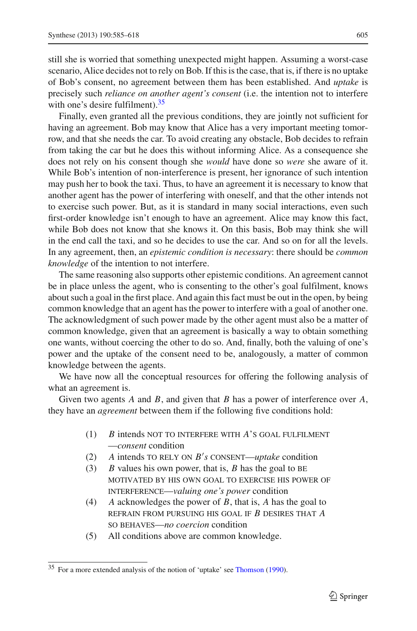still she is worried that something unexpected might happen. Assuming a worst-case scenario, Alice decides not to rely on Bob. If this is the case, that is, if there is no uptake of Bob's consent, no agreement between them has been established. And *uptake* is precisely such *reliance on another agent's consent* (i.e. the intention not to interfere with one's desire fulfilment).<sup>35</sup>

Finally, even granted all the previous conditions, they are jointly not sufficient for having an agreement. Bob may know that Alice has a very important meeting tomorrow, and that she needs the car. To avoid creating any obstacle, Bob decides to refrain from taking the car but he does this without informing Alice. As a consequence she does not rely on his consent though she *would* have done so *were* she aware of it. While Bob's intention of non-interference is present, her ignorance of such intention may push her to book the taxi. Thus, to have an agreement it is necessary to know that another agent has the power of interfering with oneself, and that the other intends not to exercise such power. But, as it is standard in many social interactions, even such first-order knowledge isn't enough to have an agreement. Alice may know this fact, while Bob does not know that she knows it. On this basis, Bob may think she will in the end call the taxi, and so he decides to use the car. And so on for all the levels. In any agreement, then, an *epistemic condition is necessary*: there should be *common knowledge* of the intention to not interfere.

The same reasoning also supports other epistemic conditions. An agreement cannot be in place unless the agent, who is consenting to the other's goal fulfilment, knows about such a goal in the first place. And again this fact must be out in the open, by being common knowledge that an agent has the power to interfere with a goal of another one. The acknowledgment of such power made by the other agent must also be a matter of common knowledge, given that an agreement is basically a way to obtain something one wants, without coercing the other to do so. And, finally, both the valuing of one's power and the uptake of the consent need to be, analogously, a matter of common knowledge between the agents.

We have now all the conceptual resources for offering the following analysis of what an agreement is.

Given two agents *A* and *B*, and given that *B* has a power of interference over *A*, they have an *agreement* between them if the following five conditions hold:

- (1) *B* intends not to interfere with *A*'s goal fulfilment —*consent* condition
- (2) *A* intends TO RELY ON  $B$ 's CONSENT—*uptake* condition
- (3) *B* values his own power, that is, *B* has the goal to be motivated by his own goal to exercise his power of interference—*valuing one's power* condition
- (4) *A* acknowledges the power of *B*, that is, *A* has the goal to refrain from pursuing his goal if *B* desires that *A* so behaves—*no coercion* condition
- (5) All conditions above are common knowledge.

<span id="page-20-0"></span><sup>35</sup> For a more extended analysis of the notion of 'uptake' see [Thomson](#page-33-6) [\(1990\)](#page-33-6).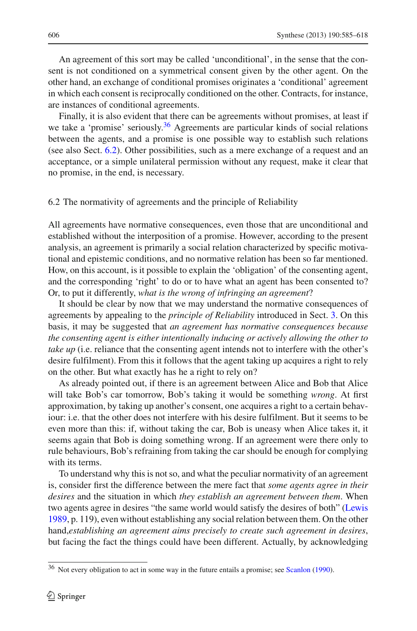An agreement of this sort may be called 'unconditional', in the sense that the consent is not conditioned on a symmetrical consent given by the other agent. On the other hand, an exchange of conditional promises originates a 'conditional' agreement in which each consent is reciprocally conditioned on the other. Contracts, for instance, are instances of conditional agreements.

Finally, it is also evident that there can be agreements without promises, at least if we take a 'promise' seriously.<sup>36</sup> Agreements are particular kinds of social relations between the agents, and a promise is one possible way to establish such relations (see also Sect. [6.2\)](#page-21-0). Other possibilities, such as a mere exchange of a request and an acceptance, or a simple unilateral permission without any request, make it clear that no promise, in the end, is necessary.

# <span id="page-21-0"></span>6.2 The normativity of agreements and the principle of Reliability

All agreements have normative consequences, even those that are unconditional and established without the interposition of a promise. However, according to the present analysis, an agreement is primarily a social relation characterized by specific motivational and epistemic conditions, and no normative relation has been so far mentioned. How, on this account, is it possible to explain the 'obligation' of the consenting agent, and the corresponding 'right' to do or to have what an agent has been consented to? Or, to put it differently, *what is the wrong of infringing an agreement*?

It should be clear by now that we may understand the normative consequences of agreements by appealing to the *principle of Reliability* introduced in Sect. [3.](#page-7-0) On this basis, it may be suggested that *an agreement has normative consequences because the consenting agent is either intentionally inducing or actively allowing the other to take up* (i.e. reliance that the consenting agent intends not to interfere with the other's desire fulfilment). From this it follows that the agent taking up acquires a right to rely on the other. But what exactly has he a right to rely on?

As already pointed out, if there is an agreement between Alice and Bob that Alice will take Bob's car tomorrow, Bob's taking it would be something *wrong*. At first approximation, by taking up another's consent, one acquires a right to a certain behaviour: i.e. that the other does not interfere with his desire fulfilment. But it seems to be even more than this: if, without taking the car, Bob is uneasy when Alice takes it, it seems again that Bob is doing something wrong. If an agreement were there only to rule behaviours, Bob's refraining from taking the car should be enough for complying with its terms.

To understand why this is not so, and what the peculiar normativity of an agreement is, consider first the difference between the mere fact that *some agents agree in their desires* and the situation in which *they establish an agreement between them*. When two agents agree in desires "the same world would satisfy the desires of both" [\(Lewis](#page-32-0) [1989,](#page-32-0) p. 119), even without establishing any social relation between them. On the other hand,*establishing an agreement aims precisely to create such agreement in desires*, but facing the fact the things could have been different. Actually, by acknowledging

<span id="page-21-1"></span><sup>&</sup>lt;sup>36</sup> Not every obligation to act in some way in the future entails a promise; see [Scanlon](#page-33-5) [\(1990](#page-33-5)).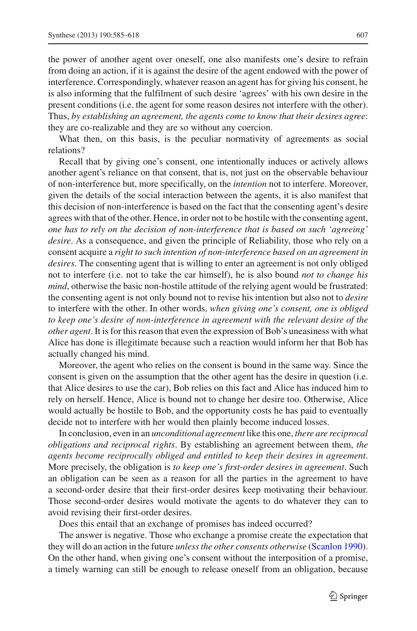the power of another agent over oneself, one also manifests one's desire to refrain from doing an action, if it is against the desire of the agent endowed with the power of interference. Correspondingly, whatever reason an agent has for giving his consent, he is also informing that the fulfilment of such desire 'agrees' with his own desire in the present conditions (i.e. the agent for some reason desires not interfere with the other). Thus, *by establishing an agreement, the agents come to know that their desires agree*: they are co-realizable and they are so without any coercion.

What then, on this basis, is the peculiar normativity of agreements as social relations?

Recall that by giving one's consent, one intentionally induces or actively allows another agent's reliance on that consent, that is, not just on the observable behaviour of non-interference but, more specifically, on the *intention* not to interfere. Moreover, given the details of the social interaction between the agents, it is also manifest that this decision of non-interference is based on the fact that the consenting agent's desire agrees with that of the other. Hence, in order not to be hostile with the consenting agent, *one has to rely on the decision of non-interference that is based on such 'agreeing' desire*. As a consequence, and given the principle of Reliability, those who rely on a consent acquire a *right to such intention of non-interference based on an agreement in desires*. The consenting agent that is willing to enter an agreement is not only obliged not to interfere (i.e. not to take the car himself), he is also bound *not to change his mind*, otherwise the basic non-hostile attitude of the relying agent would be frustrated: the consenting agent is not only bound not to revise his intention but also not to *desire* to interfere with the other. In other words, *when giving one's consent, one is obliged to keep one's desire of non-interference in agreement with the relevant desire of the other agent*. It is for this reason that even the expression of Bob's uneasiness with what Alice has done is illegitimate because such a reaction would inform her that Bob has actually changed his mind.

Moreover, the agent who relies on the consent is bound in the same way. Since the consent is given on the assumption that the other agent has the desire in question (i.e. that Alice desires to use the car), Bob relies on this fact and Alice has induced him to rely on herself. Hence, Alice is bound not to change her desire too. Otherwise, Alice would actually be hostile to Bob, and the opportunity costs he has paid to eventually decide not to interfere with her would then plainly become induced losses.

In conclusion, even in an *unconditional agreement* like this one, *there are reciprocal obligations and reciprocal rights*. By establishing an agreement between them, *the agents become reciprocally obliged and entitled to keep their desires in agreement*. More precisely, the obligation is *to keep one's first-order desires in agreement*. Such an obligation can be seen as a reason for all the parties in the agreement to have a second-order desire that their first-order desires keep motivating their behaviour. Those second-order desires would motivate the agents to do whatever they can to avoid revising their first-order desires.

Does this entail that an exchange of promises has indeed occurred?

The answer is negative. Those who exchange a promise create the expectation that they will do an action in the future *unless the other consents otherwise* [\(Scanlon 1990](#page-33-5)). On the other hand, when giving one's consent without the interposition of a promise, a timely warning can still be enough to release oneself from an obligation, because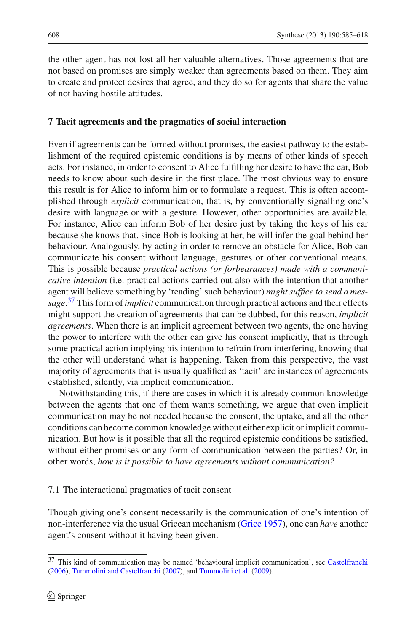the other agent has not lost all her valuable alternatives. Those agreements that are not based on promises are simply weaker than agreements based on them. They aim to create and protect desires that agree, and they do so for agents that share the value of not having hostile attitudes.

# <span id="page-23-0"></span>**7 Tacit agreements and the pragmatics of social interaction**

Even if agreements can be formed without promises, the easiest pathway to the establishment of the required epistemic conditions is by means of other kinds of speech acts. For instance, in order to consent to Alice fulfilling her desire to have the car, Bob needs to know about such desire in the first place. The most obvious way to ensure this result is for Alice to inform him or to formulate a request. This is often accomplished through *explicit* communication, that is, by conventionally signalling one's desire with language or with a gesture. However, other opportunities are available. For instance, Alice can inform Bob of her desire just by taking the keys of his car because she knows that, since Bob is looking at her, he will infer the goal behind her behaviour. Analogously, by acting in order to remove an obstacle for Alice, Bob can communicate his consent without language, gestures or other conventional means. This is possible because *practical actions (or forbearances) made with a communicative intention* (i.e. practical actions carried out also with the intention that another agent will believe something by 'reading' such behaviour) *might suffice to send a message*. [37](#page-23-1) This form of *implicit* communication through practical actions and their effects might support the creation of agreements that can be dubbed, for this reason, *implicit agreements*. When there is an implicit agreement between two agents, the one having the power to interfere with the other can give his consent implicitly, that is through some practical action implying his intention to refrain from interfering, knowing that the other will understand what is happening. Taken from this perspective, the vast majority of agreements that is usually qualified as 'tacit' are instances of agreements established, silently, via implicit communication.

Notwithstanding this, if there are cases in which it is already common knowledge between the agents that one of them wants something, we argue that even implicit communication may be not needed because the consent, the uptake, and all the other conditions can become common knowledge without either explicit or implicit communication. But how is it possible that all the required epistemic conditions be satisfied, without either promises or any form of communication between the parties? Or, in other words, *how is it possible to have agreements without communication?*

# <span id="page-23-2"></span>7.1 The interactional pragmatics of tacit consent

Though giving one's consent necessarily is the communication of one's intention of non-interference via the usual Gricean mechanism [\(Grice 1957\)](#page-32-21), one can *have* another agent's consent without it having been given.

<span id="page-23-1"></span><sup>37</sup> This kind of communication may be named 'behavioural implicit communication', see [Castelfranchi](#page-32-27) [\(2006](#page-32-27)), [Tummolini and Castelfranchi](#page-33-20) [\(2007](#page-33-20)), and [Tummolini et al.](#page-33-21) [\(2009\)](#page-33-21).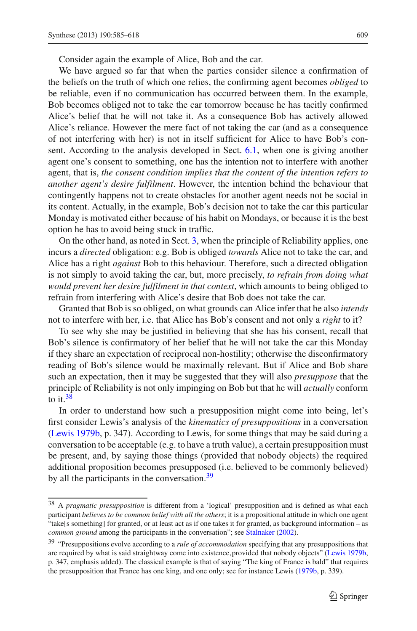Consider again the example of Alice, Bob and the car.

We have argued so far that when the parties consider silence a confirmation of the beliefs on the truth of which one relies, the confirming agent becomes *obliged* to be reliable, even if no communication has occurred between them. In the example, Bob becomes obliged not to take the car tomorrow because he has tacitly confirmed Alice's belief that he will not take it. As a consequence Bob has actively allowed Alice's reliance. However the mere fact of not taking the car (and as a consequence of not interfering with her) is not in itself sufficient for Alice to have Bob's consent. According to the analysis developed in Sect. [6.1,](#page-18-5) when one is giving another agent one's consent to something, one has the intention not to interfere with another agent, that is, *the consent condition implies that the content of the intention refers to another agent's desire fulfilment*. However, the intention behind the behaviour that contingently happens not to create obstacles for another agent needs not be social in its content. Actually, in the example, Bob's decision not to take the car this particular Monday is motivated either because of his habit on Mondays, or because it is the best option he has to avoid being stuck in traffic.

On the other hand, as noted in Sect. [3,](#page-7-0) when the principle of Reliability applies, one incurs a *directed* obligation: e.g. Bob is obliged *towards* Alice not to take the car, and Alice has a right *against* Bob to this behaviour. Therefore, such a directed obligation is not simply to avoid taking the car, but, more precisely, *to refrain from doing what would prevent her desire fulfilment in that context*, which amounts to being obliged to refrain from interfering with Alice's desire that Bob does not take the car.

Granted that Bob is so obliged, on what grounds can Alice infer that he also *intends* not to interfere with her, i.e. that Alice has Bob's consent and not only a *right* to it?

To see why she may be justified in believing that she has his consent, recall that Bob's silence is confirmatory of her belief that he will not take the car this Monday if they share an expectation of reciprocal non-hostility; otherwise the disconfirmatory reading of Bob's silence would be maximally relevant. But if Alice and Bob share such an expectation, then it may be suggested that they will also *presuppose* that the principle of Reliability is not only impinging on Bob but that he will *actually* conform to it.  $38$ 

In order to understand how such a presupposition might come into being, let's first consider Lewis's analysis of the *kinematics of presuppositions* in a conversation [\(Lewis 1979b](#page-32-28), p. 347). According to Lewis, for some things that may be said during a conversation to be acceptable (e.g. to have a truth value), a certain presupposition must be present, and, by saying those things (provided that nobody objects) the required additional proposition becomes presupposed (i.e. believed to be commonly believed) by all the participants in the conversation.<sup>[39](#page-24-1)</sup>

<span id="page-24-0"></span><sup>38</sup> A *pragmatic presupposition* is different from a 'logical' presupposition and is defined as what each participant *believes to be common belief with all the others*; it is a propositional attitude in which one agent "take[s something] for granted, or at least act as if one takes it for granted, as background information – as *common ground* among the participants in the conversation"; see [Stalnaker](#page-33-22) [\(2002](#page-33-22)).

<span id="page-24-1"></span><sup>39</sup> "Presuppositions evolve according to a *rule of accommodation* specifying that any presuppositions that are required by what is said straightway come into existence*,*provided that nobody objects" [\(Lewis 1979b](#page-32-28), p. 347, emphasis added). The classical example is that of saying "The king of France is bald" that requires the presupposition that France has one king, and one only; see for instance Lewis [\(1979b](#page-32-28), p. 339).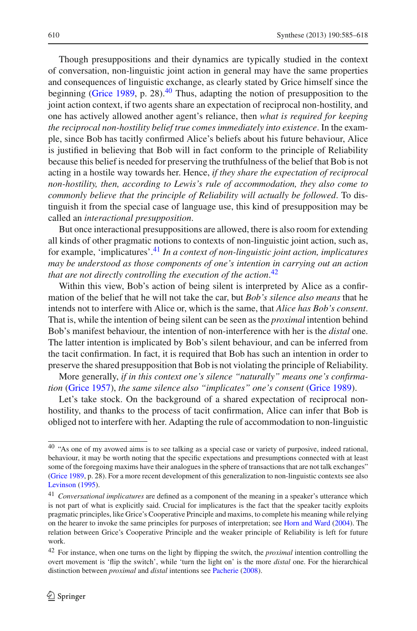Though presuppositions and their dynamics are typically studied in the context of conversation, non-linguistic joint action in general may have the same properties and consequences of linguistic exchange, as clearly stated by Grice himself since the beginning [\(Grice 1989,](#page-32-29) p. 28).<sup>[40](#page-25-0)</sup> Thus, adapting the notion of presupposition to the joint action context, if two agents share an expectation of reciprocal non-hostility, and one has actively allowed another agent's reliance, then *what is required for keeping the reciprocal non-hostility belief true comes immediately into existence*. In the example, since Bob has tacitly confirmed Alice's beliefs about his future behaviour, Alice is justified in believing that Bob will in fact conform to the principle of Reliability because this belief is needed for preserving the truthfulness of the belief that Bob is not acting in a hostile way towards her. Hence, *if they share the expectation of reciprocal non-hostility, then, according to Lewis's rule of accommodation, they also come to commonly believe that the principle of Reliability will actually be followed*. To distinguish it from the special case of language use, this kind of presupposition may be called an *interactional presupposition*.

But once interactional presuppositions are allowed, there is also room for extending all kinds of other pragmatic notions to contexts of non-linguistic joint action, such as, for example, 'implicatures'.[41](#page-25-1) *In a context of non-linguistic joint action, implicatures may be understood as those components of one's intention in carrying out an action that are not directly controlling the execution of the action*. [42](#page-25-2)

Within this view, Bob's action of being silent is interpreted by Alice as a confirmation of the belief that he will not take the car, but *Bob's silence also means* that he intends not to interfere with Alice or, which is the same, that *Alice has Bob's consent*. That is, while the intention of being silent can be seen as the *proximal* intention behind Bob's manifest behaviour, the intention of non-interference with her is the *distal* one. The latter intention is implicated by Bob's silent behaviour, and can be inferred from the tacit confirmation. In fact, it is required that Bob has such an intention in order to preserve the shared presupposition that Bob is not violating the principle of Reliability.

More generally, *if in this context one's silence "naturally" means one's confirmation* [\(Grice 1957\)](#page-32-21), *the same silence also "implicates" one's consent* [\(Grice 1989\)](#page-32-29).

Let's take stock. On the background of a shared expectation of reciprocal nonhostility, and thanks to the process of tacit confirmation, Alice can infer that Bob is obliged not to interfere with her. Adapting the rule of accommodation to non-linguistic

<span id="page-25-0"></span><sup>&</sup>lt;sup>40</sup> "As one of my avowed aims is to see talking as a special case or variety of purposive, indeed rational, behaviour, it may be worth noting that the specific expectations and presumptions connected with at least some of the foregoing maxims have their analogues in the sphere of transactions that are not talk exchanges" [\(Grice 1989,](#page-32-29) p. 28). For a more recent development of this generalization to non-linguistic contexts see also [Levinson](#page-32-30) [\(1995\)](#page-32-30).

<span id="page-25-1"></span><sup>41</sup> *Conversational implicatures* are defined as a component of the meaning in a speaker's utterance which is not part of what is explicitly said. Crucial for implicatures is the fact that the speaker tacitly exploits pragmatic principles, like Grice's Cooperative Principle and maxims, to complete his meaning while relying on the hearer to invoke the same principles for purposes of interpretation; see [Horn and Ward](#page-32-31) [\(2004\)](#page-32-31). The relation between Grice's Cooperative Principle and the weaker principle of Reliability is left for future work.

<span id="page-25-2"></span><sup>42</sup> For instance, when one turns on the light by flipping the switch, the *proximal* intention controlling the overt movement is 'flip the switch', while 'turn the light on' is the more *distal* one. For the hierarchical distinction between *proximal* and *distal* intentions see [Pacherie](#page-33-23) [\(2008](#page-33-23)).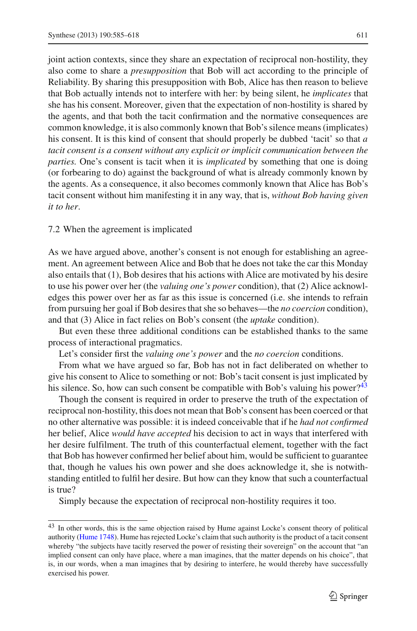joint action contexts, since they share an expectation of reciprocal non-hostility, they also come to share a *presupposition* that Bob will act according to the principle of Reliability. By sharing this presupposition with Bob, Alice has then reason to believe that Bob actually intends not to interfere with her: by being silent, he *implicates* that she has his consent. Moreover, given that the expectation of non-hostility is shared by the agents, and that both the tacit confirmation and the normative consequences are common knowledge, it is also commonly known that Bob's silence means (implicates) his consent. It is this kind of consent that should properly be dubbed 'tacit' so that *a tacit consent is a consent without any explicit or implicit communication between the parties.* One's consent is tacit when it is *implicated* by something that one is doing (or forbearing to do) against the background of what is already commonly known by the agents. As a consequence, it also becomes commonly known that Alice has Bob's tacit consent without him manifesting it in any way, that is, *without Bob having given it to her*.

# <span id="page-26-1"></span>7.2 When the agreement is implicated

As we have argued above, another's consent is not enough for establishing an agreement. An agreement between Alice and Bob that he does not take the car this Monday also entails that (1), Bob desires that his actions with Alice are motivated by his desire to use his power over her (the *valuing one's power* condition), that (2) Alice acknowledges this power over her as far as this issue is concerned (i.e. she intends to refrain from pursuing her goal if Bob desires that she so behaves—the *no coercion* condition), and that (3) Alice in fact relies on Bob's consent (the *uptake* condition).

But even these three additional conditions can be established thanks to the same process of interactional pragmatics.

Let's consider first the *valuing one's power* and the *no coercion* conditions.

From what we have argued so far, Bob has not in fact deliberated on whether to give his consent to Alice to something or not: Bob's tacit consent is just implicated by his silence. So, how can such consent be compatible with Bob's valuing his power?<sup>43</sup>

Though the consent is required in order to preserve the truth of the expectation of reciprocal non-hostility, this does not mean that Bob's consent has been coerced or that no other alternative was possible: it is indeed conceivable that if he *had not confirmed* her belief, Alice *would have accepted* his decision to act in ways that interfered with her desire fulfilment. The truth of this counterfactual element, together with the fact that Bob has however confirmed her belief about him, would be sufficient to guarantee that, though he values his own power and she does acknowledge it, she is notwithstanding entitled to fulfil her desire. But how can they know that such a counterfactual is true?

Simply because the expectation of reciprocal non-hostility requires it too.

<span id="page-26-0"></span><sup>43</sup> In other words, this is the same objection raised by Hume against Locke's consent theory of political authority [\(Hume 1748\)](#page-32-32). Hume has rejected Locke's claim that such authority is the product of a tacit consent whereby "the subjects have tacitly reserved the power of resisting their sovereign" on the account that "an implied consent can only have place, where a man imagines, that the matter depends on his choice", that is, in our words, when a man imagines that by desiring to interfere, he would thereby have successfully exercised his power.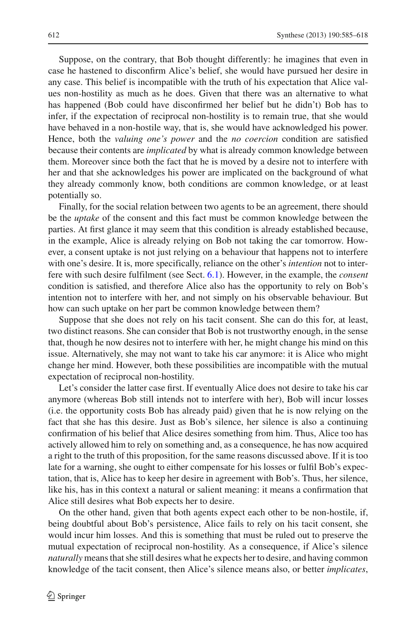Suppose, on the contrary, that Bob thought differently: he imagines that even in case he hastened to disconfirm Alice's belief, she would have pursued her desire in any case. This belief is incompatible with the truth of his expectation that Alice values non-hostility as much as he does. Given that there was an alternative to what has happened (Bob could have disconfirmed her belief but he didn't) Bob has to infer, if the expectation of reciprocal non-hostility is to remain true, that she would have behaved in a non-hostile way, that is, she would have acknowledged his power. Hence, both the *valuing one's power* and the *no coercion* condition are satisfied because their contents are *implicated* by what is already common knowledge between them. Moreover since both the fact that he is moved by a desire not to interfere with her and that she acknowledges his power are implicated on the background of what they already commonly know, both conditions are common knowledge, or at least potentially so.

Finally, for the social relation between two agents to be an agreement, there should be the *uptake* of the consent and this fact must be common knowledge between the parties. At first glance it may seem that this condition is already established because, in the example, Alice is already relying on Bob not taking the car tomorrow. However, a consent uptake is not just relying on a behaviour that happens not to interfere with one's desire. It is, more specifically, reliance on the other's *intention* not to interfere with such desire fulfilment (see Sect. [6.1\)](#page-18-5). However, in the example, the *consent* condition is satisfied, and therefore Alice also has the opportunity to rely on Bob's intention not to interfere with her, and not simply on his observable behaviour. But how can such uptake on her part be common knowledge between them?

Suppose that she does not rely on his tacit consent. She can do this for, at least, two distinct reasons. She can consider that Bob is not trustworthy enough, in the sense that, though he now desires not to interfere with her, he might change his mind on this issue. Alternatively, she may not want to take his car anymore: it is Alice who might change her mind. However, both these possibilities are incompatible with the mutual expectation of reciprocal non-hostility.

Let's consider the latter case first. If eventually Alice does not desire to take his car anymore (whereas Bob still intends not to interfere with her), Bob will incur losses (i.e. the opportunity costs Bob has already paid) given that he is now relying on the fact that she has this desire. Just as Bob's silence, her silence is also a continuing confirmation of his belief that Alice desires something from him. Thus, Alice too has actively allowed him to rely on something and, as a consequence, he has now acquired a right to the truth of this proposition, for the same reasons discussed above. If it is too late for a warning, she ought to either compensate for his losses or fulfil Bob's expectation, that is, Alice has to keep her desire in agreement with Bob's. Thus, her silence, like his, has in this context a natural or salient meaning: it means a confirmation that Alice still desires what Bob expects her to desire.

On the other hand, given that both agents expect each other to be non-hostile, if, being doubtful about Bob's persistence, Alice fails to rely on his tacit consent, she would incur him losses. And this is something that must be ruled out to preserve the mutual expectation of reciprocal non-hostility. As a consequence, if Alice's silence *naturally* means that she still desires what he expects her to desire, and having common knowledge of the tacit consent, then Alice's silence means also, or better *implicates*,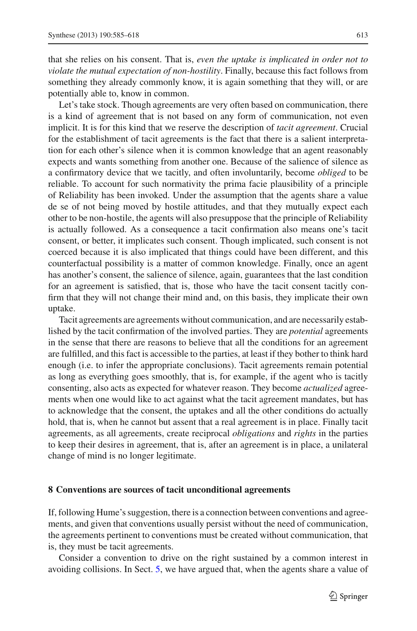that she relies on his consent. That is, *even the uptake is implicated in order not to violate the mutual expectation of non-hostility*. Finally, because this fact follows from something they already commonly know, it is again something that they will, or are potentially able to, know in common.

Let's take stock. Though agreements are very often based on communication, there is a kind of agreement that is not based on any form of communication, not even implicit. It is for this kind that we reserve the description of *tacit agreement*. Crucial for the establishment of tacit agreements is the fact that there is a salient interpretation for each other's silence when it is common knowledge that an agent reasonably expects and wants something from another one. Because of the salience of silence as a confirmatory device that we tacitly, and often involuntarily, become *obliged* to be reliable. To account for such normativity the prima facie plausibility of a principle of Reliability has been invoked. Under the assumption that the agents share a value de se of not being moved by hostile attitudes, and that they mutually expect each other to be non-hostile, the agents will also presuppose that the principle of Reliability is actually followed. As a consequence a tacit confirmation also means one's tacit consent, or better, it implicates such consent. Though implicated, such consent is not coerced because it is also implicated that things could have been different, and this counterfactual possibility is a matter of common knowledge. Finally, once an agent has another's consent, the salience of silence, again, guarantees that the last condition for an agreement is satisfied, that is, those who have the tacit consent tacitly confirm that they will not change their mind and, on this basis, they implicate their own uptake.

Tacit agreements are agreements without communication, and are necessarily established by the tacit confirmation of the involved parties. They are *potential* agreements in the sense that there are reasons to believe that all the conditions for an agreement are fulfilled, and this fact is accessible to the parties, at least if they bother to think hard enough (i.e. to infer the appropriate conclusions). Tacit agreements remain potential as long as everything goes smoothly, that is, for example, if the agent who is tacitly consenting, also acts as expected for whatever reason. They become *actualized* agreements when one would like to act against what the tacit agreement mandates, but has to acknowledge that the consent, the uptakes and all the other conditions do actually hold, that is, when he cannot but assent that a real agreement is in place. Finally tacit agreements, as all agreements, create reciprocal *obligations* and *rights* in the parties to keep their desires in agreement, that is, after an agreement is in place, a unilateral change of mind is no longer legitimate.

#### <span id="page-28-0"></span>**8 Conventions are sources of tacit unconditional agreements**

If, following Hume's suggestion, there is a connection between conventions and agreements, and given that conventions usually persist without the need of communication, the agreements pertinent to conventions must be created without communication, that is, they must be tacit agreements.

Consider a convention to drive on the right sustained by a common interest in avoiding collisions. In Sect. [5,](#page-16-0) we have argued that, when the agents share a value of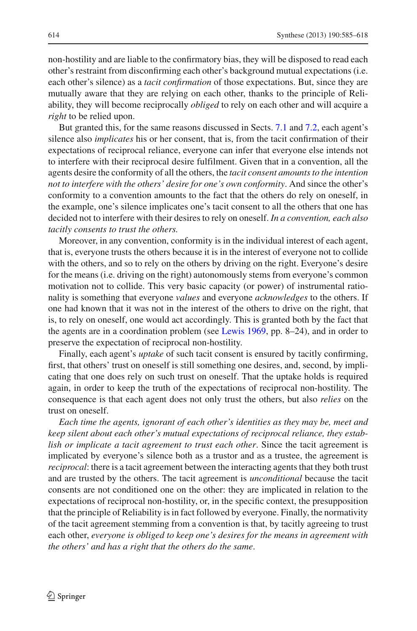non-hostility and are liable to the confirmatory bias, they will be disposed to read each other's restraint from disconfirming each other's background mutual expectations (i.e. each other's silence) as a *tacit confirmation* of those expectations. But, since they are mutually aware that they are relying on each other, thanks to the principle of Reliability, they will become reciprocally *obliged* to rely on each other and will acquire a *right* to be relied upon.

But granted this, for the same reasons discussed in Sects. [7.1](#page-23-2) and [7.2,](#page-26-1) each agent's silence also *implicates* his or her consent, that is, from the tacit confirmation of their expectations of reciprocal reliance, everyone can infer that everyone else intends not to interfere with their reciprocal desire fulfilment. Given that in a convention, all the agents desire the conformity of all the others, the *tacit consent amounts to the intention not to interfere with the others' desire for one's own conformity*. And since the other's conformity to a convention amounts to the fact that the others do rely on oneself, in the example, one's silence implicates one's tacit consent to all the others that one has decided not to interfere with their desires to rely on oneself. *In a convention, each also tacitly consents to trust the others.*

Moreover, in any convention, conformity is in the individual interest of each agent, that is, everyone trusts the others because it is in the interest of everyone not to collide with the others, and so to rely on the others by driving on the right. Everyone's desire for the means (i.e. driving on the right) autonomously stems from everyone's common motivation not to collide. This very basic capacity (or power) of instrumental rationality is something that everyone *values* and everyone *acknowledges* to the others. If one had known that it was not in the interest of the others to drive on the right, that is, to rely on oneself, one would act accordingly. This is granted both by the fact that the agents are in a coordination problem (see [Lewis 1969](#page-32-2), pp. 8–24), and in order to preserve the expectation of reciprocal non-hostility.

Finally, each agent's *uptake* of such tacit consent is ensured by tacitly confirming, first, that others' trust on oneself is still something one desires, and, second, by implicating that one does rely on such trust on oneself. That the uptake holds is required again, in order to keep the truth of the expectations of reciprocal non-hostility. The consequence is that each agent does not only trust the others, but also *relies* on the trust on oneself.

*Each time the agents, ignorant of each other's identities as they may be, meet and keep silent about each other's mutual expectations of reciprocal reliance, they establish or implicate a tacit agreement to trust each other.* Since the tacit agreement is implicated by everyone's silence both as a trustor and as a trustee, the agreement is *reciprocal*: there is a tacit agreement between the interacting agents that they both trust and are trusted by the others. The tacit agreement is *unconditional* because the tacit consents are not conditioned one on the other: they are implicated in relation to the expectations of reciprocal non-hostility, or, in the specific context, the presupposition that the principle of Reliability is in fact followed by everyone. Finally, the normativity of the tacit agreement stemming from a convention is that, by tacitly agreeing to trust each other, *everyone is obliged to keep one's desires for the means in agreement with the others' and has a right that the others do the same*.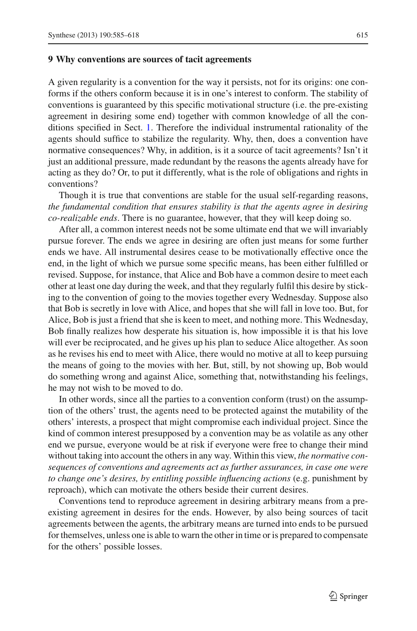#### **9 Why conventions are sources of tacit agreements**

A given regularity is a convention for the way it persists, not for its origins: one conforms if the others conform because it is in one's interest to conform. The stability of conventions is guaranteed by this specific motivational structure (i.e. the pre-existing agreement in desiring some end) together with common knowledge of all the conditions specified in Sect. [1.](#page-3-0) Therefore the individual instrumental rationality of the agents should suffice to stabilize the regularity. Why, then, does a convention have normative consequences? Why, in addition, is it a source of tacit agreements? Isn't it just an additional pressure, made redundant by the reasons the agents already have for acting as they do? Or, to put it differently, what is the role of obligations and rights in conventions?

Though it is true that conventions are stable for the usual self-regarding reasons, *the fundamental condition that ensures stability is that the agents agree in desiring co-realizable ends*. There is no guarantee, however, that they will keep doing so.

After all, a common interest needs not be some ultimate end that we will invariably pursue forever. The ends we agree in desiring are often just means for some further ends we have. All instrumental desires cease to be motivationally effective once the end, in the light of which we pursue some specific means, has been either fulfilled or revised. Suppose, for instance, that Alice and Bob have a common desire to meet each other at least one day during the week, and that they regularly fulfil this desire by sticking to the convention of going to the movies together every Wednesday. Suppose also that Bob is secretly in love with Alice, and hopes that she will fall in love too. But, for Alice, Bob is just a friend that she is keen to meet, and nothing more. This Wednesday, Bob finally realizes how desperate his situation is, how impossible it is that his love will ever be reciprocated, and he gives up his plan to seduce Alice altogether. As soon as he revises his end to meet with Alice, there would no motive at all to keep pursuing the means of going to the movies with her. But, still, by not showing up, Bob would do something wrong and against Alice, something that, notwithstanding his feelings, he may not wish to be moved to do.

In other words, since all the parties to a convention conform (trust) on the assumption of the others' trust, the agents need to be protected against the mutability of the others' interests, a prospect that might compromise each individual project. Since the kind of common interest presupposed by a convention may be as volatile as any other end we pursue, everyone would be at risk if everyone were free to change their mind without taking into account the others in any way. Within this view, *the normative consequences of conventions and agreements act as further assurances, in case one were to change one's desires, by entitling possible influencing actions* (e.g. punishment by reproach), which can motivate the others beside their current desires.

Conventions tend to reproduce agreement in desiring arbitrary means from a preexisting agreement in desires for the ends. However, by also being sources of tacit agreements between the agents, the arbitrary means are turned into ends to be pursued for themselves, unless one is able to warn the other in time or is prepared to compensate for the others' possible losses.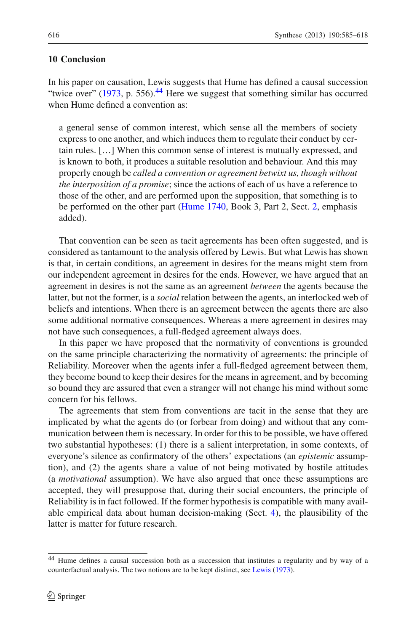# **10 Conclusion**

In his paper on causation, Lewis suggests that Hume has defined a causal succession "twice over" [\(1973,](#page-32-33) p. 556).<sup>[44](#page-31-0)</sup> Here we suggest that something similar has occurred when Hume defined a convention as:

a general sense of common interest, which sense all the members of society express to one another, and which induces them to regulate their conduct by certain rules. […] When this common sense of interest is mutually expressed, and is known to both, it produces a suitable resolution and behaviour. And this may properly enough be *called a convention or agreement betwixt us, though without the interposition of a promise*; since the actions of each of us have a reference to those of the other, and are performed upon the supposition, that something is to be performed on the other part [\(Hume 1740](#page-32-3), Book 3, Part 2, Sect. [2,](#page-4-2) emphasis added).

That convention can be seen as tacit agreements has been often suggested, and is considered as tantamount to the analysis offered by Lewis. But what Lewis has shown is that, in certain conditions, an agreement in desires for the means might stem from our independent agreement in desires for the ends. However, we have argued that an agreement in desires is not the same as an agreement *between* the agents because the latter, but not the former, is a *social* relation between the agents, an interlocked web of beliefs and intentions. When there is an agreement between the agents there are also some additional normative consequences. Whereas a mere agreement in desires may not have such consequences, a full-fledged agreement always does.

In this paper we have proposed that the normativity of conventions is grounded on the same principle characterizing the normativity of agreements: the principle of Reliability. Moreover when the agents infer a full-fledged agreement between them, they become bound to keep their desires for the means in agreement, and by becoming so bound they are assured that even a stranger will not change his mind without some concern for his fellows.

The agreements that stem from conventions are tacit in the sense that they are implicated by what the agents do (or forbear from doing) and without that any communication between them is necessary. In order for this to be possible, we have offered two substantial hypotheses: (1) there is a salient interpretation, in some contexts, of everyone's silence as confirmatory of the others' expectations (an *epistemic* assumption), and (2) the agents share a value of not being motivated by hostile attitudes (a *motivational* assumption). We have also argued that once these assumptions are accepted, they will presuppose that, during their social encounters, the principle of Reliability is in fact followed. If the former hypothesis is compatible with many available empirical data about human decision-making (Sect. [4\)](#page-12-0), the plausibility of the latter is matter for future research.

<span id="page-31-0"></span><sup>44</sup> Hume defines a causal succession both as a succession that institutes a regularity and by way of a counterfactual analysis. The two notions are to be kept distinct, see [Lewis](#page-32-33) [\(1973](#page-32-33)).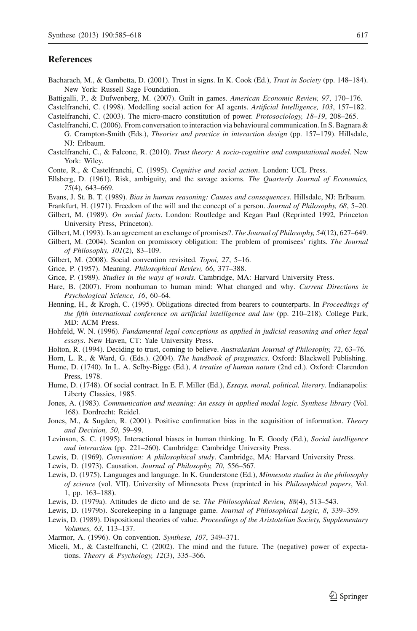# **References**

- <span id="page-32-12"></span>Bacharach, M., & Gambetta, D. (2001). Trust in signs. In K. Cook (Ed.), *Trust in Society* (pp. 148–184). New York: Russell Sage Foundation.
- <span id="page-32-22"></span>Battigalli, P., & Dufwenberg, M. (2007). Guilt in games. *American Economic Review, 97*, 170–176.
- <span id="page-32-24"></span>Castelfranchi, C. (1998). Modelling social action for AI agents. *Artificial Intelligence, 103*, 157–182.
- <span id="page-32-25"></span>Castelfranchi, C. (2003). The micro-macro constitution of power. *Protosociology, 18–19*, 208–265.
- <span id="page-32-27"></span>Castelfranchi, C. (2006). From conversation to interaction via behavioural communication. In S. Bagnara & G. Crampton-Smith (Eds.), *Theories and practice in interaction design* (pp. 157–179). Hillsdale, NJ: Erlbaum.
- <span id="page-32-8"></span>Castelfranchi, C., & Falcone, R. (2010). *Trust theory: A socio-cognitive and computational model*. New York: Wiley.
- <span id="page-32-11"></span>Conte, R., & Castelfranchi, C. (1995). *Cognitive and social action*. London: UCL Press.
- <span id="page-32-20"></span>Ellsberg, D. (1961). Risk, ambiguity, and the savage axioms. *The Quarterly Journal of Economics, 75*(4), 643–669.
- <span id="page-32-18"></span>Evans, J. St. B. T. (1989). *Bias in human reasoning: Causes and consequences*. Hillsdale, NJ: Erlbaum.
- <span id="page-32-26"></span>Frankfurt, H. (1971). Freedom of the will and the concept of a person. *Journal of Philosophy, 68*, 5–20.
- <span id="page-32-4"></span>Gilbert, M. (1989). *On social facts*. London: Routledge and Kegan Paul (Reprinted 1992, Princeton University Press, Princeton).
- <span id="page-32-23"></span>Gilbert, M. (1993). Is an agreement an exchange of promises?. *The Journal of Philosophy, 54*(12), 627–649.
- <span id="page-32-14"></span>Gilbert, M. (2004). Scanlon on promissory obligation: The problem of promisees' rights. *The Journal of Philosophy, 101*(2), 83–109.
- <span id="page-32-6"></span>Gilbert, M. (2008). Social convention revisited. *Topoi, 27*, 5–16.
- <span id="page-32-21"></span>Grice, P. (1957). Meaning. *Philosophical Review, 66*, 377–388.
- <span id="page-32-29"></span>Grice, P. (1989). *Studies in the ways of words*. Cambridge, MA: Harvard University Press.
- <span id="page-32-17"></span>Hare, B. (2007). From nonhuman to human mind: What changed and why. *Current Directions in Psychological Science, 16*, 60–64.
- <span id="page-32-16"></span>Henning, H., & Krogh, C. (1995). Obligations directed from bearers to counterparts. In *Proceedings of the fifth international conference on artificial intelligence and law* (pp. 210–218). College Park, MD: ACM Press.
- <span id="page-32-15"></span>Hohfeld, W. N. (1996). *Fundamental legal conceptions as applied in judicial reasoning and other legal essays*. New Haven, CT: Yale University Press.
- <span id="page-32-10"></span>Holton, R. (1994). Deciding to trust, coming to believe. *Australasian Journal of Philosophy, 72*, 63–76.
- <span id="page-32-31"></span>Horn, L. R., & Ward, G. (Eds.). (2004). *The handbook of pragmatics*. Oxford: Blackwell Publishing.
- <span id="page-32-3"></span>Hume, D. (1740). In L. A. Selby-Bigge (Ed.), *A treatise of human nature* (2nd ed.). Oxford: Clarendon Press, 1978.
- <span id="page-32-32"></span>Hume, D. (1748). Of social contract. In E. F. Miller (Ed.), *Essays, moral, political, literary*. Indianapolis: Liberty Classics, 1985.
- <span id="page-32-9"></span>Jones, A. (1983). *Communication and meaning: An essay in applied modal logic. Synthese library* (Vol. 168). Dordrecht: Reidel.
- <span id="page-32-19"></span>Jones, M., & Sugden, R. (2001). Positive confirmation bias in the acquisition of information. *Theory and Decision, 50*, 59–99.
- <span id="page-32-30"></span>Levinson, S. C. (1995). Interactional biases in human thinking. In E. Goody (Ed.), *Social intelligence and interaction* (pp. 221–260). Cambridge: Cambridge University Press.
- <span id="page-32-2"></span>Lewis, D. (1969). *Convention: A philosophical study*. Cambridge, MA: Harvard University Press.
- <span id="page-32-33"></span>Lewis, D. (1973). Causation. *Journal of Philosophy, 70*, 556–567.
- <span id="page-32-7"></span>Lewis, D. (1975). Languages and language. In K. Gunderstone (Ed.), *Minnesota studies in the philosophy of science* (vol. VII). University of Minnesota Press (reprinted in his *Philosophical papers*, Vol. 1, pp. 163–188).
- <span id="page-32-1"></span>Lewis, D. (1979a). Attitudes de dicto and de se. *The Philosophical Review, 88*(4), 513–543.
- <span id="page-32-28"></span>Lewis, D. (1979b). Scorekeeping in a language game. *Journal of Philosophical Logic, 8*, 339–359.
- <span id="page-32-0"></span>Lewis, D. (1989). Dispositional theories of value. *Proceedings of the Aristotelian Society, Supplementary Volumes, 63*, 113–137.
- Marmor, A. (1996). On convention. *Synthese, 107*, 349–371.
- <span id="page-32-13"></span><span id="page-32-5"></span>Miceli, M., & Castelfranchi, C. (2002). The mind and the future. The (negative) power of expectations. *Theory & Psychology, 12*(3), 335–366.